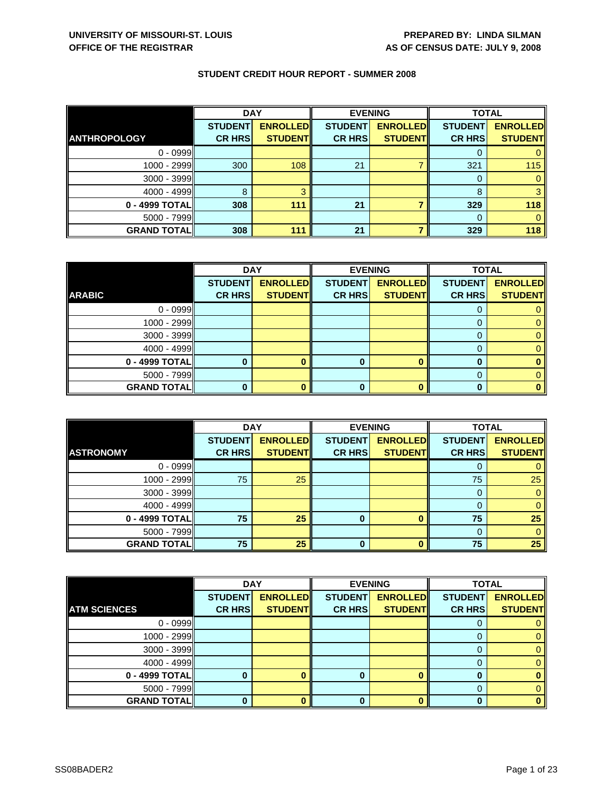|                     | <b>DAY</b>     |                 | <b>EVENING</b> |                 | <b>TOTAL</b>   |                 |
|---------------------|----------------|-----------------|----------------|-----------------|----------------|-----------------|
|                     | <b>STUDENT</b> | <b>ENROLLED</b> | <b>STUDENT</b> | <b>ENROLLED</b> | <b>STUDENT</b> | <b>ENROLLED</b> |
| <b>ANTHROPOLOGY</b> | <b>CR HRS</b>  | <b>STUDENT</b>  | <b>CR HRS</b>  | <b>STUDENT</b>  | <b>CR HRS</b>  | <b>STUDENT</b>  |
| $0 - 0999$          |                |                 |                |                 |                |                 |
| $1000 - 2999$       | 300            | 108             | 21             |                 | 321            | 115             |
| $3000 - 3999$       |                |                 |                |                 | 0              |                 |
| $4000 - 4999$       | 8              |                 |                |                 | 8              |                 |
| 0 - 4999 TOTAL      | 308            | 111             | 21             |                 | 329            | 118             |
| $5000 - 7999$       |                |                 |                |                 |                |                 |
| <b>GRAND TOTAL</b>  | 308            | 111             | 21             |                 | 329            | 118             |

|                    | <b>DAY</b>     |                 |                | <b>EVENING</b>  | <b>TOTAL</b>   |                 |
|--------------------|----------------|-----------------|----------------|-----------------|----------------|-----------------|
|                    | <b>STUDENT</b> | <b>ENROLLED</b> | <b>STUDENT</b> | <b>ENROLLED</b> | <b>STUDENT</b> | <b>ENROLLED</b> |
| <b>ARABIC</b>      | <b>CR HRS</b>  | <b>STUDENT</b>  | <b>CR HRS</b>  | <b>STUDENT</b>  | <b>CR HRS</b>  | <b>STUDENT</b>  |
| $0 - 0999$         |                |                 |                |                 |                |                 |
| $1000 - 2999$      |                |                 |                |                 |                |                 |
| $3000 - 3999$      |                |                 |                |                 |                |                 |
| $4000 - 4999$      |                |                 |                |                 |                |                 |
| $0 - 4999$ TOTAL   |                |                 | 0              |                 |                |                 |
| $5000 - 7999$      |                |                 |                |                 |                |                 |
| <b>GRAND TOTAL</b> |                |                 | 0              |                 |                |                 |

|                    | <b>DAY</b>     |                 | <b>EVENING</b> |                 | <b>TOTAL</b>   |                 |
|--------------------|----------------|-----------------|----------------|-----------------|----------------|-----------------|
|                    | <b>STUDENT</b> | <b>ENROLLED</b> | <b>STUDENT</b> | <b>ENROLLED</b> | <b>STUDENT</b> | <b>ENROLLED</b> |
| <b>ASTRONOMY</b>   | <b>CR HRS</b>  | <b>STUDENT</b>  | <b>CR HRS</b>  | <b>STUDENT</b>  | <b>CR HRS</b>  | <b>STUDENT</b>  |
| $0 - 0999$         |                |                 |                |                 |                |                 |
| $1000 - 2999$      | 75             | 25              |                |                 | 75             | 25              |
| $3000 - 3999$      |                |                 |                |                 |                |                 |
| $4000 - 4999$      |                |                 |                |                 |                |                 |
| 0 - 4999 TOTAL     | 75             | 25              | 0              |                 | 75             | 25              |
| $5000 - 7999$      |                |                 |                |                 |                |                 |
| <b>GRAND TOTAL</b> | 75             | 25              | 0              |                 | 75             | 25              |

|                     | <b>DAY</b>     |                 |                | <b>EVENING</b>  | <b>TOTAL</b>   |                 |
|---------------------|----------------|-----------------|----------------|-----------------|----------------|-----------------|
|                     | <b>STUDENT</b> | <b>ENROLLED</b> | <b>STUDENT</b> | <b>ENROLLED</b> | <b>STUDENT</b> | <b>ENROLLED</b> |
| <b>ATM SCIENCES</b> | <b>CR HRS</b>  | <b>STUDENT</b>  | <b>CR HRS</b>  | <b>STUDENT</b>  | <b>CR HRS</b>  | <b>STUDENT</b>  |
| $0 - 0999$          |                |                 |                |                 |                |                 |
| 1000 - 2999         |                |                 |                |                 |                | 0               |
| 3000 - 3999         |                |                 |                |                 |                | 0               |
| $4000 - 4999$       |                |                 |                |                 | 0              | 0               |
| 0 - 4999 TOTAL      |                |                 | 0              | ∩               | 0              |                 |
| 5000 - 7999         |                |                 |                |                 |                | 0               |
| <b>GRAND TOTAL</b>  |                |                 | 0              |                 | 0              | 0               |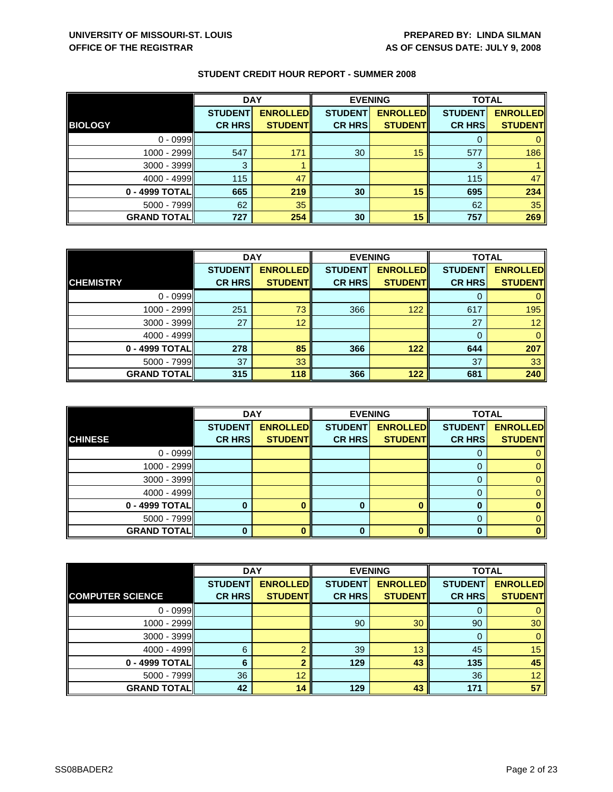|                    | <b>DAY</b>                      |                                   | <b>EVENING</b>                  |                                   | <b>TOTAL</b>                    |                                   |
|--------------------|---------------------------------|-----------------------------------|---------------------------------|-----------------------------------|---------------------------------|-----------------------------------|
| <b>BIOLOGY</b>     | <b>STUDENT</b><br><b>CR HRS</b> | <b>ENROLLED</b><br><b>STUDENT</b> | <b>STUDENT</b><br><b>CR HRS</b> | <b>ENROLLED</b><br><b>STUDENT</b> | <b>STUDENT</b><br><b>CR HRS</b> | <b>ENROLLED</b><br><b>STUDENT</b> |
|                    |                                 |                                   |                                 |                                   |                                 |                                   |
| $0 - 0999$         |                                 |                                   |                                 |                                   |                                 |                                   |
| 1000 - 2999        | 547                             | 171                               | 30                              | 15                                | 577                             | 186                               |
| $3000 - 3999$      | 3                               |                                   |                                 |                                   | 3                               |                                   |
| $4000 - 4999$      | 115                             | 47                                |                                 |                                   | 115                             | 47                                |
| 0 - 4999 TOTAL     | 665                             | 219                               | 30                              | 15                                | 695                             | 234                               |
| $5000 - 7999$      | 62                              | 35 <sup>°</sup>                   |                                 |                                   | 62                              | 35                                |
| <b>GRAND TOTAL</b> | 727                             | 254                               | 30                              | 15                                | 757                             | 269                               |

|                    | <b>DAY</b>     |                  |                | <b>EVENING</b>  | <b>TOTAL</b>   |                 |
|--------------------|----------------|------------------|----------------|-----------------|----------------|-----------------|
|                    | <b>STUDENT</b> | <b>ENROLLEDI</b> | <b>STUDENT</b> | <b>ENROLLED</b> | <b>STUDENT</b> | <b>ENROLLED</b> |
| <b>CHEMISTRY</b>   | <b>CR HRS</b>  | <b>STUDENT</b>   | <b>CR HRS</b>  | <b>STUDENT</b>  | <b>CR HRS</b>  | <b>STUDENT</b>  |
| $0 - 0999$         |                |                  |                |                 |                |                 |
| 1000 - 2999        | 251            | 73               | 366            | 122             | 617            | 195             |
| $3000 - 3999$      | 27             | 12               |                |                 | 27             | 12 <sup>°</sup> |
| $4000 - 4999$      |                |                  |                |                 |                | $\mathbf{0}$    |
| 0 - 4999 TOTAL     | 278            | 85               | 366            | 122             | 644            | 207             |
| $5000 - 7999$      | 37             | 33               |                |                 | 37             | 33              |
| <b>GRAND TOTAL</b> | 315            | 118              | 366            | 122             | 681            | 240             |

|                    | <b>DAY</b>     |                 |                | <b>EVENING</b>  | <b>TOTAL</b>   |                 |
|--------------------|----------------|-----------------|----------------|-----------------|----------------|-----------------|
|                    | <b>STUDENT</b> | <b>ENROLLED</b> | <b>STUDENT</b> | <b>ENROLLED</b> | <b>STUDENT</b> | <b>ENROLLED</b> |
| <b>CHINESE</b>     | <b>CR HRS</b>  | <b>STUDENT</b>  | <b>CR HRS</b>  | <b>STUDENT</b>  | <b>CR HRS</b>  | <b>STUDENT</b>  |
| $0 - 0999$         |                |                 |                |                 | O              |                 |
| $1000 - 2999$      |                |                 |                |                 |                |                 |
| $3000 - 3999$      |                |                 |                |                 |                |                 |
| $4000 - 4999$      |                |                 |                |                 | 0              |                 |
| 0 - 4999 TOTAL     |                |                 |                |                 |                |                 |
| $5000 - 7999$      |                |                 |                |                 |                |                 |
| <b>GRAND TOTAL</b> |                |                 | 0              |                 |                |                 |

|                         | <b>DAY</b>     |                 | <b>EVENING</b> |                 | <b>TOTAL</b>   |                 |
|-------------------------|----------------|-----------------|----------------|-----------------|----------------|-----------------|
|                         | <b>STUDENT</b> | <b>ENROLLED</b> | <b>STUDENT</b> | <b>ENROLLED</b> | <b>STUDENT</b> | <b>ENROLLED</b> |
| <b>COMPUTER SCIENCE</b> | <b>CR HRS</b>  | <b>STUDENT</b>  | <b>CR HRS</b>  | <b>STUDENT</b>  | <b>CR HRS</b>  | <b>STUDENT</b>  |
| $0 - 0999$              |                |                 |                |                 | O              | 0               |
| 1000 - 2999             |                |                 | 90             | 30              | 90             | 30              |
| $3000 - 3999$           |                |                 |                |                 | 0              | $\mathbf{0}$    |
| $4000 - 4999$           | 6              |                 | 39             | 13              | 45             | 15              |
| $0 - 4999$ TOTAL        | 6              |                 | 129            | 43              | 135            | 45              |
| $5000 - 7999$           | 36             | 12              |                |                 | 36             | 12 <sup>7</sup> |
| <b>GRAND TOTAL</b>      | 42             | 14              | 129            | 43              | 171            | 57              |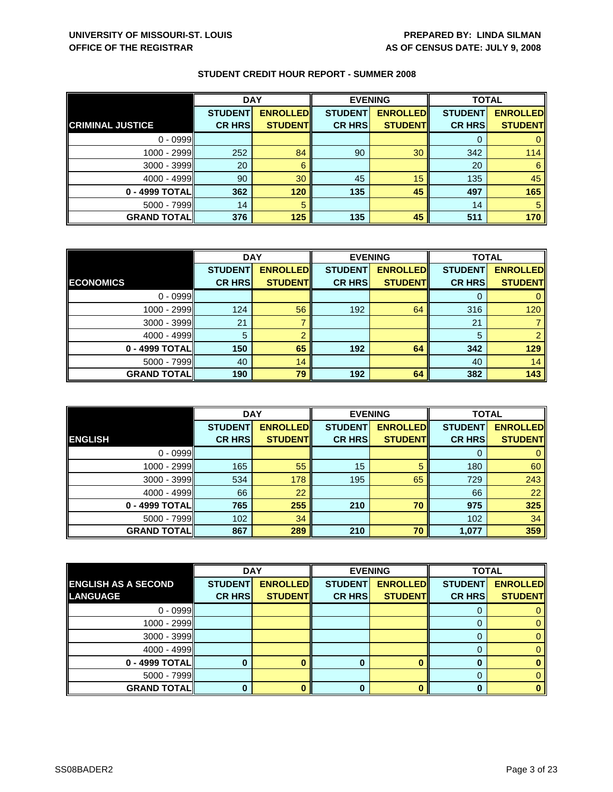|                         | <b>DAY</b>     |                 | <b>EVENING</b> |                 | <b>TOTAL</b>   |                 |
|-------------------------|----------------|-----------------|----------------|-----------------|----------------|-----------------|
|                         | <b>STUDENT</b> | <b>ENROLLED</b> | <b>STUDENT</b> | <b>ENROLLED</b> | <b>STUDENT</b> | <b>ENROLLED</b> |
| <b>CRIMINAL JUSTICE</b> | <b>CR HRS</b>  | <b>STUDENT</b>  | <b>CR HRS</b>  | <b>STUDENT</b>  | <b>CR HRS</b>  | <b>STUDENT</b>  |
| $0 - 0999$              |                |                 |                |                 |                |                 |
| $1000 - 2999$           | 252            | 84              | 90             | 30              | 342            | 114             |
| $3000 - 3999$           | 20             | 6               |                |                 | 20             | 6               |
| $4000 - 4999$           | 90             | 30              | 45             | 15              | 135            | 45              |
| 0 - 4999 TOTALI         | 362            | 120             | 135            | 45              | 497            | 165             |
| $5000 - 7999$           | 14             | 5               |                |                 | 14             | 5               |
| <b>GRAND TOTAL</b>      | 376            | 125             | 135            | 45              | 511            | 170             |

|                    | <b>DAY</b>     |                  | <b>EVENING</b> |                 | <b>TOTAL</b>   |                 |
|--------------------|----------------|------------------|----------------|-----------------|----------------|-----------------|
|                    | <b>STUDENT</b> | <b>ENROLLEDI</b> | <b>STUDENT</b> | <b>ENROLLED</b> | <b>STUDENT</b> | <b>ENROLLED</b> |
| <b>ECONOMICS</b>   | <b>CR HRS</b>  | <b>STUDENT</b>   | <b>CR HRS</b>  | <b>STUDENT</b>  | <b>CR HRS</b>  | <b>STUDENT</b>  |
| $0 - 0999$         |                |                  |                |                 |                |                 |
| 1000 - 2999        | 124            | 56               | 192            | 64              | 316            | 120             |
| $3000 - 3999$      | 21             |                  |                |                 | 21             |                 |
| $4000 - 4999$      | 5              | റ                |                |                 | 5              |                 |
| 0 - 4999 TOTAL     | 150            | 65               | 192            | 64              | 342            | 129             |
| $5000 - 7999$      | 40             | 14               |                |                 | 40             | 14              |
| <b>GRAND TOTAL</b> | 190            | 79               | 192            | 64              | 382            | 143             |

|                     | <b>DAY</b>     |                 |                | <b>EVENING</b>  | <b>TOTAL</b>   |                 |
|---------------------|----------------|-----------------|----------------|-----------------|----------------|-----------------|
|                     | <b>STUDENT</b> | <b>ENROLLED</b> | <b>STUDENT</b> | <b>ENROLLED</b> | <b>STUDENT</b> | <b>ENROLLED</b> |
| <b>ENGLISH</b>      | <b>CR HRS</b>  | <b>STUDENT</b>  | <b>CR HRS</b>  | <b>STUDENT</b>  | <b>CR HRS</b>  | <b>STUDENT</b>  |
| $0 - 0999$          |                |                 |                |                 | 0              | $\mathbf{0}$    |
| 1000 - 2999         | 165            | 55              | 15             | 5               | 180            | 60              |
| $3000 - 3999$       | 534            | 178             | 195            | 65              | 729            | 243             |
| $4000 - 4999$       | 66             | 22              |                |                 | 66             | 22              |
| 0 - 4999 TOTAL      | 765            | 255             | 210            | 70              | 975            | 325             |
| $5000 - 7999$       | 102            | 34              |                |                 | 102            | 34              |
| <b>GRAND TOTALI</b> | 867            | 289             | 210            | 70              | 1,077          | 359             |

|                            | <b>DAY</b>     |                 |                | <b>EVENING</b>  | <b>TOTAL</b>   |                 |
|----------------------------|----------------|-----------------|----------------|-----------------|----------------|-----------------|
| <b>ENGLISH AS A SECOND</b> | <b>STUDENT</b> | <b>ENROLLED</b> | <b>STUDENT</b> | <b>ENROLLED</b> | <b>STUDENT</b> | <b>ENROLLED</b> |
| LANGUAGE                   | <b>CR HRS</b>  | <b>STUDENT</b>  | <b>CR HRS</b>  | <b>STUDENT</b>  | <b>CR HRS</b>  | <b>STUDENT</b>  |
| $0 - 0999$                 |                |                 |                |                 |                |                 |
| $1000 - 2999$              |                |                 |                |                 |                | 0.              |
| $3000 - 3999$              |                |                 |                |                 | O              | 0               |
| $4000 - 4999$              |                |                 |                |                 |                |                 |
| $0 - 4999$ TOTAL           |                |                 |                |                 |                |                 |
| $5000 - 7999$              |                |                 |                |                 | 0              |                 |
| <b>GRAND TOTAL</b>         |                |                 |                |                 |                |                 |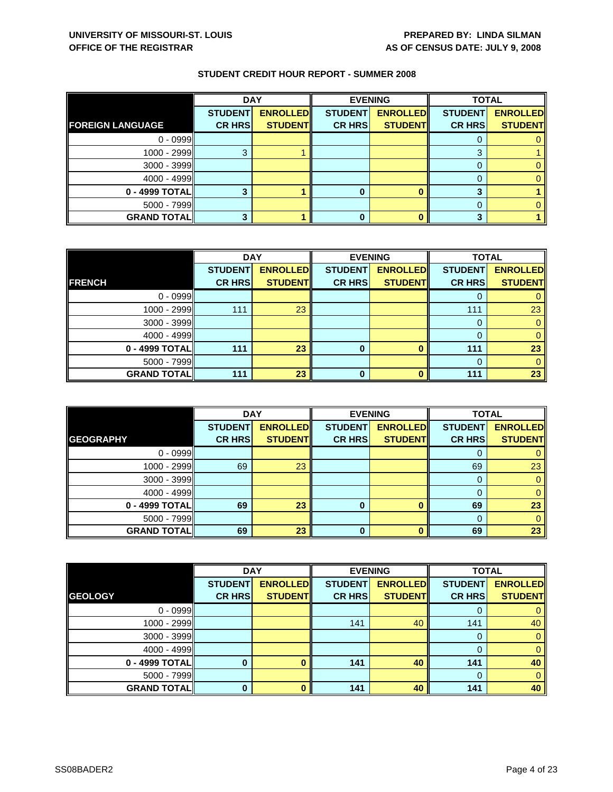|                         | <b>DAY</b>     |                 | <b>EVENING</b> |                 | <b>TOTAL</b>   |                 |
|-------------------------|----------------|-----------------|----------------|-----------------|----------------|-----------------|
|                         | <b>STUDENT</b> | <b>ENROLLED</b> | <b>STUDENT</b> | <b>ENROLLED</b> | <b>STUDENT</b> | <b>ENROLLED</b> |
| <b>FOREIGN LANGUAGE</b> | <b>CR HRS</b>  | <b>STUDENT</b>  | <b>CR HRS</b>  | <b>STUDENT</b>  | <b>CR HRS</b>  | <b>STUDENT</b>  |
| $0 - 0999$              |                |                 |                |                 |                |                 |
| 1000 - 2999             |                |                 |                |                 | ◠              |                 |
| $3000 - 3999$           |                |                 |                |                 |                |                 |
| $4000 - 4999$           |                |                 |                |                 |                |                 |
| 0 - 4999 TOTAL          |                |                 |                |                 |                |                 |
| $5000 - 7999$           |                |                 |                |                 |                |                 |
| <b>GRAND TOTAL</b>      |                |                 |                |                 |                |                 |

|                    | <b>DAY</b>     |                 |                | <b>EVENING</b>  | <b>TOTAL</b>   |                 |
|--------------------|----------------|-----------------|----------------|-----------------|----------------|-----------------|
|                    | <b>STUDENT</b> | <b>ENROLLED</b> | <b>STUDENT</b> | <b>ENROLLED</b> | <b>STUDENT</b> | <b>ENROLLED</b> |
| <b>FRENCH</b>      | <b>CR HRS</b>  | <b>STUDENT</b>  | <b>CR HRS</b>  | <b>STUDENT</b>  | <b>CR HRS</b>  | <b>STUDENT</b>  |
| $0 - 0999$         |                |                 |                |                 |                |                 |
| 1000 - 2999        | 111            | 23              |                |                 | 111            | 23              |
| $3000 - 3999$      |                |                 |                |                 | 0              |                 |
| 4000 - 4999        |                |                 |                |                 |                | 0               |
| 0 - 4999 TOTAL     | 111            | 23              | 0              | $\Omega$        | 111            | 23              |
| $5000 - 7999$      |                |                 |                |                 | 0              |                 |
| <b>GRAND TOTAL</b> | 111            | 23              | ŋ              | n               | 111            | 23              |

|                     | <b>DAY</b>     |                 |                | <b>EVENING</b>  | <b>TOTAL</b>   |                 |
|---------------------|----------------|-----------------|----------------|-----------------|----------------|-----------------|
|                     | <b>STUDENT</b> | <b>ENROLLED</b> | <b>STUDENT</b> | <b>ENROLLED</b> | <b>STUDENT</b> | <b>ENROLLED</b> |
| <b>GEOGRAPHY</b>    | <b>CR HRS</b>  | <b>STUDENT</b>  | <b>CR HRS</b>  | <b>STUDENT</b>  | <b>CR HRS</b>  | <b>STUDENT</b>  |
| $0 - 0999$          |                |                 |                |                 | O              |                 |
| $1000 - 2999$       | 69             | 23              |                |                 | 69             | 23              |
| $3000 - 3999$       |                |                 |                |                 | 0              |                 |
| $4000 - 4999$       |                |                 |                |                 | 0              |                 |
| 0 - 4999 TOTAL      | 69             | 23              | 0              |                 | 69             | 23              |
| $5000 - 7999$       |                |                 |                |                 | $\Omega$       |                 |
| <b>GRAND TOTALI</b> | 69             | 23              | 0              |                 | 69             | 23              |

|                    | <b>DAY</b>     |                 |                | <b>EVENING</b>  | <b>TOTAL</b>   |                 |
|--------------------|----------------|-----------------|----------------|-----------------|----------------|-----------------|
|                    | <b>STUDENT</b> | <b>ENROLLED</b> | <b>STUDENT</b> | <b>ENROLLED</b> | <b>STUDENT</b> | <b>ENROLLED</b> |
| <b>GEOLOGY</b>     | <b>CR HRS</b>  | <b>STUDENT</b>  | <b>CR HRS</b>  | <b>STUDENT</b>  | <b>CR HRS</b>  | <b>STUDENT</b>  |
| $0 - 0999$         |                |                 |                |                 | O              | 0               |
| $1000 - 2999$      |                |                 | 141            | 40              | 141            | 40              |
| $3000 - 3999$      |                |                 |                |                 | 0              | $\mathbf{0}$    |
| $4000 - 4999$      |                |                 |                |                 | 0              | $\mathbf{0}$    |
| 0 - 4999 TOTAL     |                |                 | 141            | 40              | 141            | 40              |
| $5000 - 7999$      |                |                 |                |                 | $\Omega$       | $\mathbf{0}$    |
| <b>GRAND TOTAL</b> | O              |                 | 141            | 40              | 141            | 40              |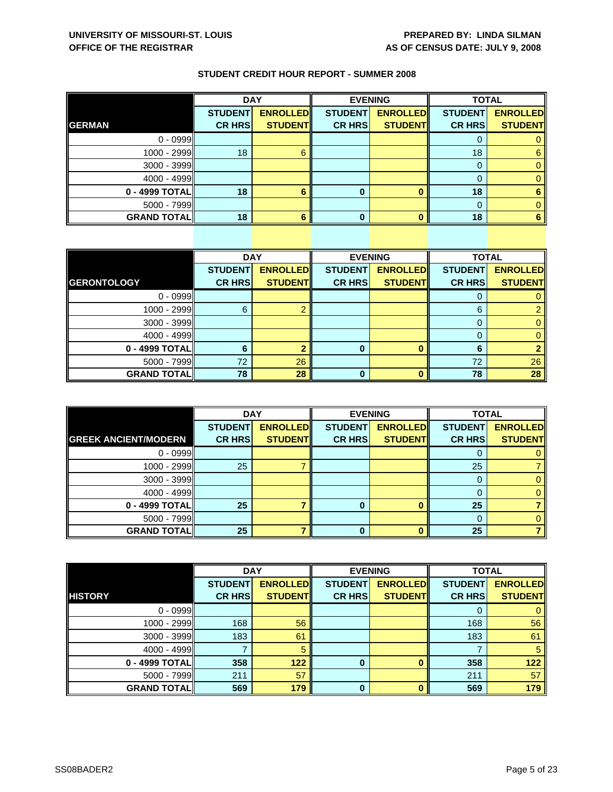|                    | <b>DAY</b>                      |                                   |                                 | <b>EVENING</b>                    |                                 | <b>TOTAL</b>                      |  |
|--------------------|---------------------------------|-----------------------------------|---------------------------------|-----------------------------------|---------------------------------|-----------------------------------|--|
| <b>GERMAN</b>      | <b>STUDENT</b><br><b>CR HRS</b> | <b>ENROLLED</b><br><b>STUDENT</b> | <b>STUDENT</b><br><b>CR HRS</b> | <b>ENROLLED</b><br><b>STUDENT</b> | <b>STUDENT</b><br><b>CR HRS</b> | <b>ENROLLED</b><br><b>STUDENT</b> |  |
|                    |                                 |                                   |                                 |                                   |                                 |                                   |  |
| $0 - 0999$         |                                 |                                   |                                 |                                   |                                 |                                   |  |
| 1000 - 2999        | 18                              | ĥ                                 |                                 |                                   | 18                              | 6                                 |  |
| 3000 - 3999        |                                 |                                   |                                 |                                   |                                 |                                   |  |
| $4000 - 4999$      |                                 |                                   |                                 |                                   |                                 |                                   |  |
| 0 - 4999 TOTAL     | 18                              |                                   |                                 |                                   | 18                              |                                   |  |
| $5000 - 7999$      |                                 |                                   |                                 |                                   |                                 |                                   |  |
| <b>GRAND TOTAL</b> | 18                              |                                   |                                 |                                   | 18                              |                                   |  |

|                    | <b>DAY</b>     |                 |                | <b>EVENING</b>  | <b>TOTAL</b>   |                 |
|--------------------|----------------|-----------------|----------------|-----------------|----------------|-----------------|
|                    | <b>STUDENT</b> | <b>ENROLLED</b> | <b>STUDENT</b> | <b>ENROLLED</b> | <b>STUDENT</b> | <b>ENROLLED</b> |
| <b>GERONTOLOGY</b> | <b>CR HRS</b>  | <b>STUDENT</b>  | <b>CR HRS</b>  | <b>STUDENT</b>  | <b>CR HRS</b>  | <b>STUDENT</b>  |
| $0 - 0999$         |                |                 |                |                 | O              | 0.              |
| 1000 - 2999        | 6              |                 |                |                 | 6              | 2               |
| 3000 - 3999        |                |                 |                |                 | 0              | $\mathbf{0}$    |
| $4000 - 4999$      |                |                 |                |                 | $\Omega$       | $\mathbf{0}$    |
| 0 - 4999 TOTAL     | 6              |                 | 0              |                 | 6              |                 |
| 5000 - 7999        | 72             | 26              |                |                 | 72             | 26              |
| <b>GRAND TOTAL</b> | 78             | 28              | 0              |                 | 78             | 28              |

|                             | <b>DAY</b>     |                 |                | <b>EVENING</b>  | <b>TOTAL</b>   |                 |
|-----------------------------|----------------|-----------------|----------------|-----------------|----------------|-----------------|
|                             | <b>STUDENT</b> | <b>ENROLLED</b> | <b>STUDENT</b> | <b>ENROLLED</b> | <b>STUDENT</b> | <b>ENROLLED</b> |
| <b>GREEK ANCIENT/MODERN</b> | <b>CR HRS</b>  | <b>STUDENT</b>  | <b>CR HRS</b>  | <b>STUDENT</b>  | <b>CR HRS</b>  | <b>STUDENT</b>  |
| $0 - 0999$                  |                |                 |                |                 | O              |                 |
| 1000 - 2999                 | 25             |                 |                |                 | 25             |                 |
| $3000 - 3999$               |                |                 |                |                 |                |                 |
| $4000 - 4999$               |                |                 |                |                 |                |                 |
| 0 - 4999 TOTAL              | 25             |                 |                | n               | 25             |                 |
| $5000 - 7999$               |                |                 |                |                 | 0              |                 |
| <b>GRAND TOTAL</b>          | 25             |                 | 0              |                 | 25             |                 |

|                    | <b>DAY</b>     |                 | <b>EVENING</b> |                 | <b>TOTAL</b>   |                 |
|--------------------|----------------|-----------------|----------------|-----------------|----------------|-----------------|
|                    | <b>STUDENT</b> | <b>ENROLLED</b> | <b>STUDENT</b> | <b>ENROLLED</b> | <b>STUDENT</b> | <b>ENROLLED</b> |
| <b>HISTORY</b>     | <b>CR HRS</b>  | <b>STUDENT</b>  | <b>CR HRS</b>  | <b>STUDENT</b>  | <b>CR HRS</b>  | <b>STUDENT</b>  |
| $0 - 0999$         |                |                 |                |                 | 0              | $\mathbf{0}$    |
| 1000 - 2999        | 168            | 56              |                |                 | 168            | 56              |
| $3000 - 3999$      | 183            | 61              |                |                 | 183            | 61              |
| $4000 - 4999$      |                | 5               |                |                 |                | 5               |
| 0 - 4999 TOTAL     | 358            | 122             | $\bf{0}$       |                 | 358            | 122             |
| $5000 - 7999$      | 211            | 57              |                |                 | 211            | 57              |
| <b>GRAND TOTAL</b> | 569            | 179             | $\bf{0}$       | n               | 569            | 179             |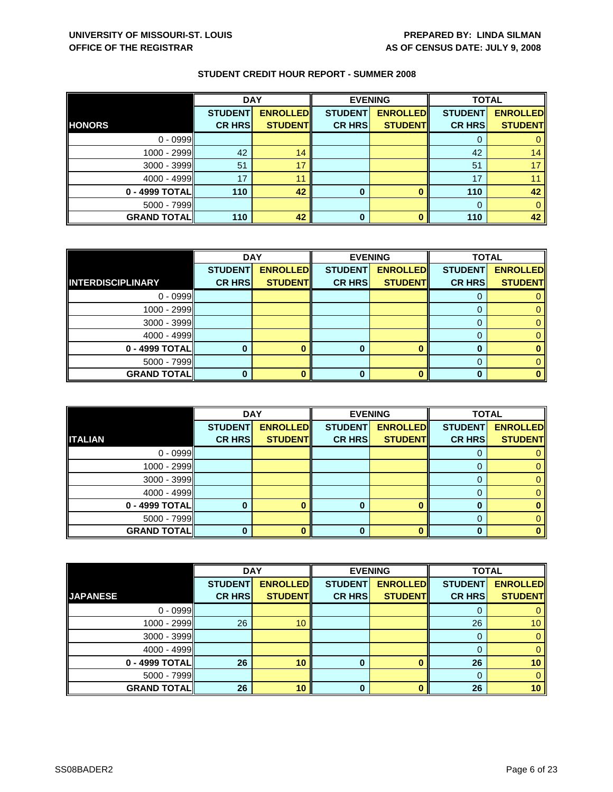|                    | <b>DAY</b>     |                 |                | <b>EVENING</b>  | <b>TOTAL</b>   |                 |
|--------------------|----------------|-----------------|----------------|-----------------|----------------|-----------------|
|                    | <b>STUDENT</b> | <b>ENROLLED</b> | <b>STUDENT</b> | <b>ENROLLED</b> | <b>STUDENT</b> | <b>ENROLLED</b> |
| <b>HONORS</b>      | <b>CR HRS</b>  | <b>STUDENT</b>  | <b>CR HRS</b>  | <b>STUDENT</b>  | <b>CR HRS</b>  | <b>STUDENT</b>  |
| $0 - 0999$         |                |                 |                |                 |                |                 |
| $1000 - 2999$      | 42             | 14              |                |                 | 42             | 14              |
| $3000 - 3999$      | 51             | 17              |                |                 | 51             |                 |
| $4000 - 4999$      | 17             | 11              |                |                 | 17             |                 |
| $0 - 4999$ TOTAL   | 110            | 42              | $\bf{0}$       |                 | 110            | 42              |
| $5000 - 7999$      |                |                 |                |                 | $\Omega$       |                 |
| <b>GRAND TOTAL</b> | 110            | 42              | $\bf{0}$       |                 | 110            | 42              |

|                          | <b>DAY</b>     |                 | <b>EVENING</b> |                 | <b>TOTAL</b>   |                 |
|--------------------------|----------------|-----------------|----------------|-----------------|----------------|-----------------|
|                          | <b>STUDENT</b> | <b>ENROLLED</b> | <b>STUDENT</b> | <b>ENROLLED</b> | <b>STUDENT</b> | <b>ENROLLED</b> |
| <b>INTERDISCIPLINARY</b> | <b>CR HRS</b>  | <b>STUDENT</b>  | <b>CR HRS</b>  | <b>STUDENT</b>  | <b>CR HRS</b>  | <b>STUDENT</b>  |
| $0 - 0999$               |                |                 |                |                 |                |                 |
| 1000 - 2999              |                |                 |                |                 | O              |                 |
| $3000 - 3999$            |                |                 |                |                 | 0              |                 |
| 4000 - 4999              |                |                 |                |                 |                |                 |
| 0 - 4999 TOTAL           |                |                 | 0              |                 |                |                 |
| $5000 - 7999$            |                |                 |                |                 | 0              |                 |
| <b>GRAND TOTAL</b>       |                |                 | ŋ              |                 |                |                 |

|                    | <b>DAY</b>                      |                                   |                                 | <b>EVENING</b>                    | <b>TOTAL</b>                    |                                   |
|--------------------|---------------------------------|-----------------------------------|---------------------------------|-----------------------------------|---------------------------------|-----------------------------------|
| <b>ITALIAN</b>     | <b>STUDENT</b><br><b>CR HRS</b> | <b>ENROLLED</b><br><b>STUDENT</b> | <b>STUDENT</b><br><b>CR HRS</b> | <b>ENROLLED</b><br><b>STUDENT</b> | <b>STUDENT</b><br><b>CR HRS</b> | <b>ENROLLED</b><br><b>STUDENT</b> |
|                    |                                 |                                   |                                 |                                   |                                 |                                   |
| $0 - 0999$         |                                 |                                   |                                 |                                   | O                               |                                   |
| 1000 - 2999        |                                 |                                   |                                 |                                   |                                 |                                   |
| $3000 - 3999$      |                                 |                                   |                                 |                                   |                                 |                                   |
| $4000 - 4999$      |                                 |                                   |                                 |                                   | $\Omega$                        |                                   |
| 0 - 4999 TOTAL     |                                 |                                   |                                 | ∩                                 |                                 |                                   |
| $5000 - 7999$      |                                 |                                   |                                 |                                   |                                 |                                   |
| <b>GRAND TOTAL</b> | 0                               |                                   | 0                               |                                   |                                 |                                   |

|                    | <b>DAY</b>     |                 | <b>EVENING</b> |                 | <b>TOTAL</b>   |                 |
|--------------------|----------------|-----------------|----------------|-----------------|----------------|-----------------|
|                    | <b>STUDENT</b> | <b>ENROLLED</b> | <b>STUDENT</b> | <b>ENROLLED</b> | <b>STUDENT</b> | <b>ENROLLED</b> |
| <b>JAPANESE</b>    | <b>CR HRS</b>  | <b>STUDENT</b>  | <b>CR HRS</b>  | <b>STUDENT</b>  | <b>CR HRS</b>  | <b>STUDENT</b>  |
| $0 - 0999$         |                |                 |                |                 | 0              | 0               |
| 1000 - 2999        | 26             | 10              |                |                 | 26             | 10 <sup>°</sup> |
| $3000 - 3999$      |                |                 |                |                 | 0              | $\mathbf{0}$    |
| $4000 - 4999$      |                |                 |                |                 | 0              | $\mathbf{0}$    |
| 0 - 4999 TOTAL     | 26             | 10              | 0              |                 | 26             | 10              |
| $5000 - 7999$      |                |                 |                |                 | $\Omega$       | $\mathbf{0}$    |
| <b>GRAND TOTAL</b> | 26             | 10              | $\Omega$       | $\mathbf{0}$    | 26             | 10              |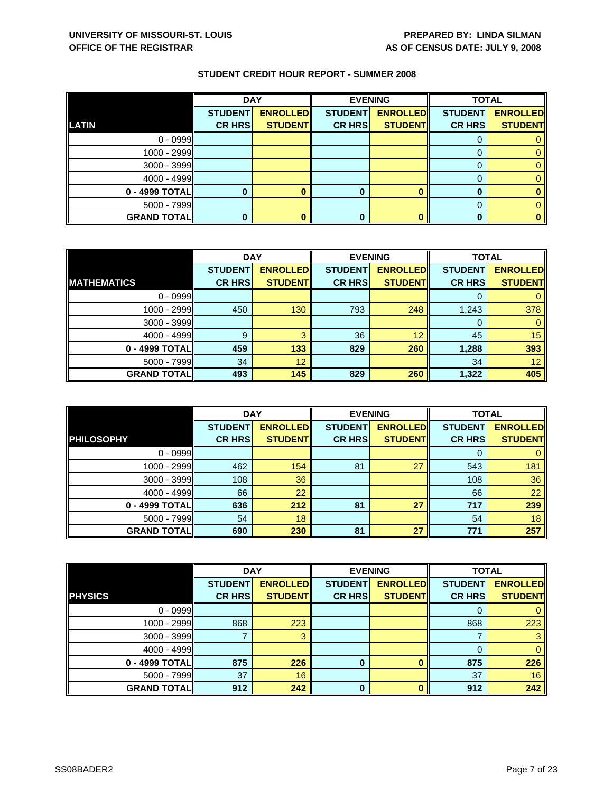|                    | <b>DAY</b>     |                 |                | <b>EVENING</b>  | <b>TOTAL</b>   |                 |
|--------------------|----------------|-----------------|----------------|-----------------|----------------|-----------------|
|                    | <b>STUDENT</b> | <b>ENROLLED</b> | <b>STUDENT</b> | <b>ENROLLED</b> | <b>STUDENT</b> | <b>ENROLLED</b> |
| LATIN              | <b>CR HRS</b>  | <b>STUDENT</b>  | <b>CR HRS</b>  | <b>STUDENT</b>  | <b>CR HRS</b>  | <b>STUDENT</b>  |
| $0 - 0999$         |                |                 |                |                 |                |                 |
| $1000 - 2999$      |                |                 |                |                 |                |                 |
| $3000 - 3999$      |                |                 |                |                 |                |                 |
| $4000 - 4999$      |                |                 |                |                 |                |                 |
| $0 - 4999$ TOTAL   |                |                 | 0              |                 |                |                 |
| $5000 - 7999$      |                |                 |                |                 |                |                 |
| <b>GRAND TOTAL</b> |                |                 | 0              |                 |                |                 |

|                    | <b>DAY</b>     |                 |                | <b>EVENING</b>  |                | <b>TOTAL</b>    |  |
|--------------------|----------------|-----------------|----------------|-----------------|----------------|-----------------|--|
|                    | <b>STUDENT</b> | <b>ENROLLED</b> | <b>STUDENT</b> | <b>ENROLLED</b> | <b>STUDENT</b> | <b>ENROLLED</b> |  |
| <b>MATHEMATICS</b> | <b>CR HRS</b>  | <b>STUDENT</b>  | <b>CR HRS</b>  | <b>STUDENT</b>  | <b>CR HRS</b>  | <b>STUDENT</b>  |  |
| $0 - 0999$         |                |                 |                |                 |                |                 |  |
| 1000 - 2999        | 450            | 130             | 793            | 248             | 1,243          | 378             |  |
| 3000 - 3999        |                |                 |                |                 | O              | 0               |  |
| $4000 - 4999$      | 9              | 3               | 36             | 12              | 45             | 15              |  |
| 0 - 4999 TOTAL     | 459            | 133             | 829            | 260             | 1,288          | 393             |  |
| $5000 - 7999$      | 34             | 12              |                |                 | 34             | 12              |  |
| <b>GRAND TOTAL</b> | 493            | 145             | 829            | 260             | 1,322          | 405             |  |

|                     | <b>DAY</b>     |                 |                | <b>EVENING</b>  | <b>TOTAL</b>   |                 |
|---------------------|----------------|-----------------|----------------|-----------------|----------------|-----------------|
|                     | <b>STUDENT</b> | <b>ENROLLED</b> | <b>STUDENT</b> | <b>ENROLLED</b> | <b>STUDENT</b> | <b>ENROLLED</b> |
| <b>PHILOSOPHY</b>   | <b>CR HRS</b>  | <b>STUDENTI</b> | <b>CR HRS</b>  | <b>STUDENTI</b> | <b>CR HRS</b>  | <b>STUDENT</b>  |
| $0 - 0999$          |                |                 |                |                 | $\Omega$       |                 |
| 1000 - 2999         | 462            | 154             | 81             | 27              | 543            | 181             |
| $3000 - 3999$       | 108            | 36              |                |                 | 108            | 36              |
| $4000 - 4999$       | 66             | 22              |                |                 | 66             | 22              |
| 0 - 4999 TOTALI     | 636            | 212             | 81             | 27              | 717            | 239             |
| $5000 - 7999$       | 54             | 18              |                |                 | 54             | 18              |
| <b>GRAND TOTALI</b> | 690            | 230             | 81             | 27              | 771            | 257             |

|                    | <b>DAY</b>     |                 | <b>EVENING</b> |                 | <b>TOTAL</b>   |                 |
|--------------------|----------------|-----------------|----------------|-----------------|----------------|-----------------|
|                    | <b>STUDENT</b> | <b>ENROLLED</b> | <b>STUDENT</b> | <b>ENROLLED</b> | <b>STUDENT</b> | <b>ENROLLED</b> |
| <b>PHYSICS</b>     | <b>CR HRS</b>  | <b>STUDENT</b>  | <b>CR HRS</b>  | <b>STUDENT</b>  | <b>CR HRS</b>  | <b>STUDENT</b>  |
| $0 - 0999$         |                |                 |                |                 | O              | 0               |
| 1000 - 2999        | 868            | 223             |                |                 | 868            | 223             |
| $3000 - 3999$      |                | 3               |                |                 |                | 3               |
| $4000 - 4999$      |                |                 |                |                 | 0              | $\mathbf{0}$    |
| 0 - 4999 TOTAL     | 875            | 226             | 0              |                 | 875            | 226             |
| $5000 - 7999$      | 37             | 16              |                |                 | 37             | 16              |
| <b>GRAND TOTAL</b> | 912            | 242             | $\bf{0}$       | ŋ               | 912            | 242             |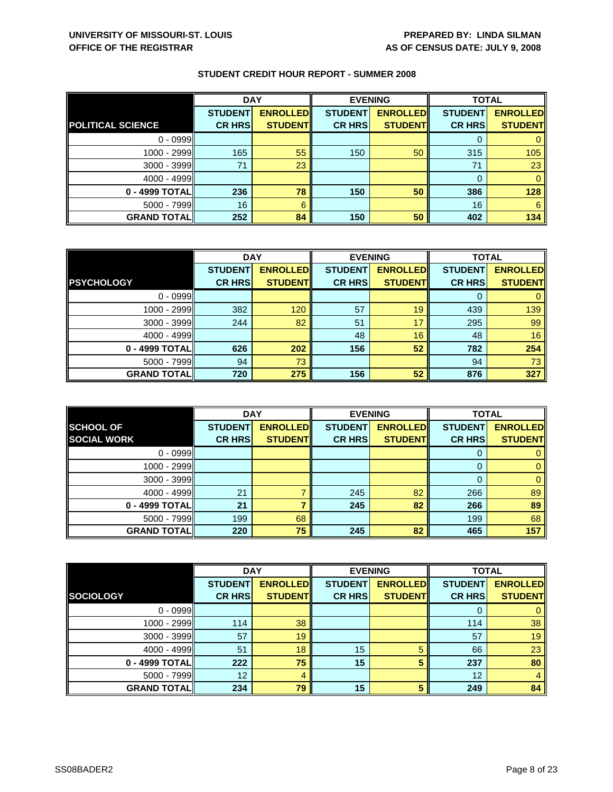|                          | <b>DAY</b>     |                 | <b>EVENING</b> |                 | <b>TOTAL</b>   |                 |
|--------------------------|----------------|-----------------|----------------|-----------------|----------------|-----------------|
|                          | <b>STUDENT</b> | <b>ENROLLED</b> | <b>STUDENT</b> | <b>ENROLLED</b> | <b>STUDENT</b> | <b>ENROLLED</b> |
| <b>POLITICAL SCIENCE</b> | <b>CR HRS</b>  | <b>STUDENT</b>  | <b>CR HRS</b>  | <b>STUDENT</b>  | <b>CR HRS</b>  | <b>STUDENT</b>  |
| $0 - 0999$               |                |                 |                |                 |                |                 |
| $1000 - 2999$            | 165            | 55              | 150            | 50              | 315            | 105             |
| $3000 - 3999$            | 71             | 23              |                |                 | 71             | 23              |
| $4000 - 4999$            |                |                 |                |                 | $\Omega$       |                 |
| 0 - 4999 TOTAL           | 236            | 78              | 150            | 50              | 386            | 128             |
| $5000 - 7999$            | 16             | 6               |                |                 | 16             | 6               |
| <b>GRAND TOTAL</b>       | 252            | 84              | 150            | 50              | 402            | 134             |

|                    | <b>DAY</b>     |                  | <b>EVENING</b> |                 | <b>TOTAL</b>   |                 |
|--------------------|----------------|------------------|----------------|-----------------|----------------|-----------------|
|                    | <b>STUDENT</b> | <b>ENROLLEDI</b> | <b>STUDENT</b> | <b>ENROLLED</b> | <b>STUDENT</b> | <b>ENROLLED</b> |
| <b>PSYCHOLOGY</b>  | <b>CR HRS</b>  | <b>STUDENT</b>   | <b>CR HRS</b>  | <b>STUDENT</b>  | <b>CR HRS</b>  | <b>STUDENT</b>  |
| $0 - 0999$         |                |                  |                |                 | 0              | 0               |
| 1000 - 2999        | 382            | 120              | 57             | 19              | 439            | 139             |
| $3000 - 3999$      | 244            | 82               | 51             | 17              | 295            | 99              |
| $4000 - 4999$      |                |                  | 48             | 16              | 48             | 16              |
| 0 - 4999 TOTAL     | 626            | 202              | 156            | 52              | 782            | 254             |
| $5000 - 7999$      | 94             | 73               |                |                 | 94             | 73              |
| <b>GRAND TOTAL</b> | 720            | 275              | 156            | 52              | 876            | 327             |

|                                        | <b>DAY</b>     |                                   | <b>EVENING</b> |                 | <b>TOTAL</b>   |                                   |
|----------------------------------------|----------------|-----------------------------------|----------------|-----------------|----------------|-----------------------------------|
| <b>SCHOOL OF</b><br><b>SOCIAL WORK</b> | <b>STUDENT</b> | <b>ENROLLED</b><br><b>STUDENT</b> | <b>STUDENT</b> | <b>ENROLLED</b> | <b>STUDENT</b> | <b>ENROLLED</b><br><b>STUDENT</b> |
|                                        | <b>CR HRS</b>  |                                   | <b>CR HRS</b>  | <b>STUDENT</b>  | <b>CR HRS</b>  |                                   |
| $0 - 0999$                             |                |                                   |                |                 |                |                                   |
| 1000 - 2999                            |                |                                   |                |                 |                |                                   |
| $3000 - 3999$                          |                |                                   |                |                 |                | 0                                 |
| $4000 - 4999$                          | 21             |                                   | 245            | 82              | 266            | 89                                |
| 0 - 4999 TOTALI                        | 21             |                                   | 245            | 82              | 266            | 89                                |
| $5000 - 7999$                          | 199            | 68                                |                |                 | 199            | 68                                |
| <b>GRAND TOTALI</b>                    | 220            | 75                                | 245            | 82              | 465            | 157                               |

|                    | <b>DAY</b>     |                 | <b>EVENING</b> |                 | <b>TOTAL</b>   |                 |
|--------------------|----------------|-----------------|----------------|-----------------|----------------|-----------------|
|                    | <b>STUDENT</b> | <b>ENROLLED</b> | <b>STUDENT</b> | <b>ENROLLED</b> | <b>STUDENT</b> | <b>ENROLLED</b> |
| <b>SOCIOLOGY</b>   | <b>CR HRS</b>  | <b>STUDENT</b>  | <b>CR HRS</b>  | <b>STUDENT</b>  | <b>CR HRS</b>  | <b>STUDENT</b>  |
| $0 - 0999$         |                |                 |                |                 | 0              | $\mathbf{0}$    |
| 1000 - 2999        | 114            | 38              |                |                 | 114            | 38              |
| 3000 - 3999        | 57             | 19              |                |                 | 57             | 19              |
| $4000 - 4999$      | 51             | 18              | 15             | 5               | 66             | 23              |
| 0 - 4999 TOTAL     | 222            | 75              | 15             | 5               | 237            | 80              |
| $5000 - 7999$      | 12             | 4               |                |                 | 12             | 4               |
| <b>GRAND TOTAL</b> | 234            | 79              | 15             | 5               | 249            | 84              |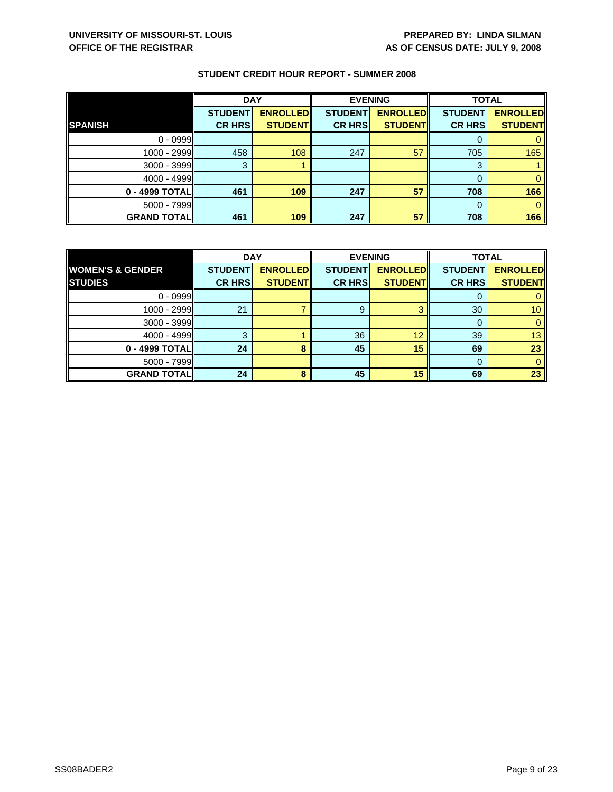|                    | <b>DAY</b>     |                 | <b>EVENING</b> |                 | <b>TOTAL</b>   |                 |
|--------------------|----------------|-----------------|----------------|-----------------|----------------|-----------------|
|                    | <b>STUDENT</b> | <b>ENROLLED</b> | <b>STUDENT</b> | <b>ENROLLED</b> | <b>STUDENT</b> | <b>ENROLLED</b> |
| <b>SPANISH</b>     | <b>CR HRS</b>  | <b>STUDENT</b>  | <b>CR HRS</b>  | <b>STUDENT</b>  | <b>CR HRS</b>  | <b>STUDENT</b>  |
| $0 - 0999$         |                |                 |                |                 |                |                 |
| 1000 - 2999        | 458            | 108             | 247            | 57              | 705            | 165             |
| 3000 - 3999        | 3              |                 |                |                 | 3              |                 |
| $4000 - 4999$      |                |                 |                |                 | 0              |                 |
| 0 - 4999 TOTAL     | 461            | 109             | 247            | 57              | 708            | 166             |
| $5000 - 7999$      |                |                 |                |                 | 0              |                 |
| <b>GRAND TOTAL</b> | 461            | 109             | 247            | 57              | 708            | 166             |

|                             | <b>DAY</b>     |                 | <b>EVENING</b> |                 | <b>TOTAL</b>    |                 |
|-----------------------------|----------------|-----------------|----------------|-----------------|-----------------|-----------------|
| <b>WOMEN'S &amp; GENDER</b> | <b>STUDENT</b> | <b>ENROLLED</b> | <b>STUDENT</b> | <b>ENROLLED</b> | <b>STUDENT</b>  | <b>ENROLLED</b> |
| <b>STUDIES</b>              | <b>CR HRS</b>  | <b>STUDENTI</b> | <b>CR HRS</b>  | <b>STUDENT</b>  | <b>CR HRS</b>   | <b>STUDENT</b>  |
| $0 - 0999$                  |                |                 |                |                 |                 |                 |
| $1000 - 2999$               | 21             |                 | 9              | ≏               | 30 <sup>°</sup> | 10 <sup>°</sup> |
| $3000 - 3999$               |                |                 |                |                 |                 |                 |
| $4000 - 4999$               | З              |                 | 36             | 12              | 39              | 13              |
| 0 - 4999 TOTAL              | 24             |                 | 45             | 15              | 69              | 23              |
| $5000 - 7999$               |                |                 |                |                 |                 |                 |
| <b>GRAND TOTAL</b>          | 24             | Ջ               | 45             | 15              | 69              | 23              |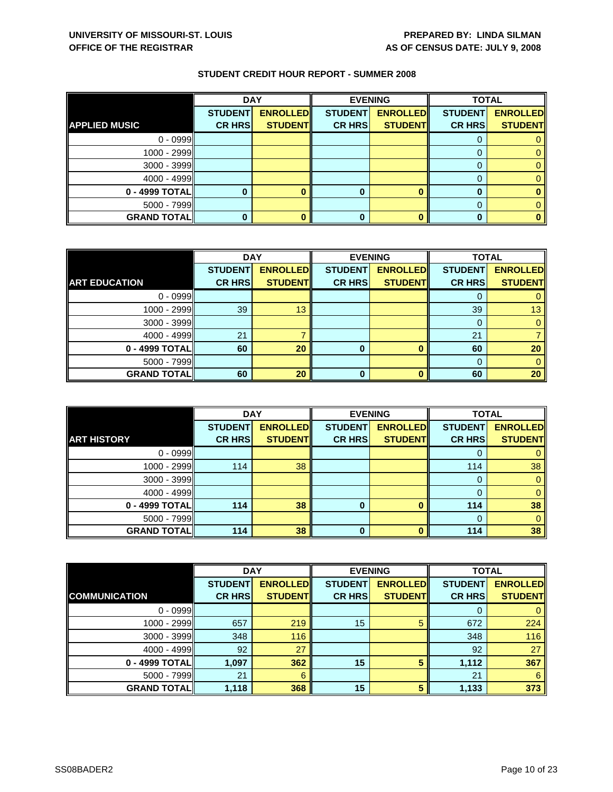|                      | <b>DAY</b>     |                 | <b>EVENING</b> |                 | <b>TOTAL</b>   |                 |
|----------------------|----------------|-----------------|----------------|-----------------|----------------|-----------------|
|                      | <b>STUDENT</b> | <b>ENROLLED</b> | <b>STUDENT</b> | <b>ENROLLED</b> | <b>STUDENT</b> | <b>ENROLLED</b> |
| <b>APPLIED MUSIC</b> | <b>CR HRS</b>  | <b>STUDENT</b>  | <b>CR HRS</b>  | <b>STUDENT</b>  | <b>CR HRS</b>  | <b>STUDENT</b>  |
| $0 - 0999$           |                |                 |                |                 |                |                 |
| 1000 - 2999          |                |                 |                |                 |                |                 |
| 3000 - 3999          |                |                 |                |                 |                |                 |
| $4000 - 4999$        |                |                 |                |                 |                |                 |
| 0 - 4999 TOTAL       |                |                 |                |                 |                |                 |
| $5000 - 7999$        |                |                 |                |                 |                |                 |
| <b>GRAND TOTAL</b>   |                |                 |                |                 |                |                 |

|                      | <b>DAY</b>     |                 | <b>EVENING</b> |                 | <b>TOTAL</b>   |                 |
|----------------------|----------------|-----------------|----------------|-----------------|----------------|-----------------|
|                      | <b>STUDENT</b> | <b>ENROLLED</b> | <b>STUDENT</b> | <b>ENROLLED</b> | <b>STUDENT</b> | <b>ENROLLED</b> |
| <b>ART EDUCATION</b> | <b>CR HRS</b>  | <b>STUDENT</b>  | <b>CR HRS</b>  | <b>STUDENT</b>  | <b>CR HRS</b>  | <b>STUDENT</b>  |
| $0 - 0999$           |                |                 |                |                 |                |                 |
| 1000 - 2999          | 39             | 13              |                |                 | 39             | 13              |
| $3000 - 3999$        |                |                 |                |                 |                |                 |
| 4000 - 4999          | 21             |                 |                |                 | 21             |                 |
| 0 - 4999 TOTAL       | 60             | 20              | 0              | O               | 60             | 20              |
| $5000 - 7999$        |                |                 |                |                 | 0              |                 |
| <b>GRAND TOTAL</b>   | 60             | 20              | ŋ              | n               | 60             | 20              |

|                    | <b>DAY</b>                      |                                   | <b>EVENING</b>                  |                                   | <b>TOTAL</b>                    |                                   |
|--------------------|---------------------------------|-----------------------------------|---------------------------------|-----------------------------------|---------------------------------|-----------------------------------|
| <b>ART HISTORY</b> | <b>STUDENT</b><br><b>CR HRS</b> | <b>ENROLLED</b><br><b>STUDENT</b> | <b>STUDENT</b><br><b>CR HRS</b> | <b>ENROLLED</b><br><b>STUDENT</b> | <b>STUDENT</b><br><b>CR HRS</b> | <b>ENROLLED</b><br><b>STUDENT</b> |
| $0 - 0999$         |                                 |                                   |                                 |                                   | O                               |                                   |
| 1000 - 2999        | 114                             | 38                                |                                 |                                   | 114                             | 38                                |
| $3000 - 3999$      |                                 |                                   |                                 |                                   | $\Omega$                        | 0                                 |
| $4000 - 4999$      |                                 |                                   |                                 |                                   | 0                               |                                   |
| 0 - 4999 TOTAL     | 114                             | 38                                | 0                               | n                                 | 114                             | 38                                |
| $5000 - 7999$      |                                 |                                   |                                 |                                   | $\Omega$                        | 0                                 |
| <b>GRAND TOTAL</b> | 114                             | 38                                | 0                               |                                   | 114                             | 38                                |

|                      | <b>DAY</b>     |                 | <b>EVENING</b> |                 | <b>TOTAL</b>   |                 |
|----------------------|----------------|-----------------|----------------|-----------------|----------------|-----------------|
|                      | <b>STUDENT</b> | <b>ENROLLED</b> | <b>STUDENT</b> | <b>ENROLLED</b> | <b>STUDENT</b> | <b>ENROLLED</b> |
| <b>COMMUNICATION</b> | <b>CR HRS</b>  | <b>STUDENT</b>  | <b>CR HRS</b>  | <b>STUDENT</b>  | <b>CR HRS</b>  | <b>STUDENT</b>  |
| $0 - 0999$           |                |                 |                |                 | O              | 0               |
| 1000 - 2999          | 657            | 219             | 15             | 5               | 672            | 224             |
| $3000 - 3999$        | 348            | 116             |                |                 | 348            | 116             |
| $4000 - 4999$        | 92             | 27              |                |                 | 92             | 27              |
| 0 - 4999 TOTAL       | 1,097          | 362             | 15             | 5               | 1,112          | 367             |
| $5000 - 7999$        | 21             | 6               |                |                 | 21             | 6               |
| <b>GRAND TOTAL</b>   | 1,118          | 368             | 15             | 5               | 1,133          | 373             |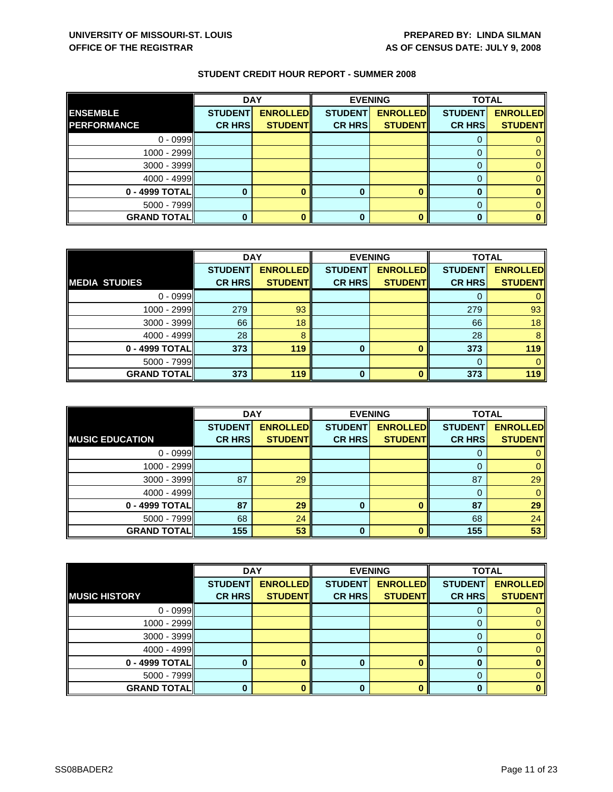|                    | <b>DAY</b>     |                 |                | <b>EVENING</b>  |                | <b>TOTAL</b>    |  |
|--------------------|----------------|-----------------|----------------|-----------------|----------------|-----------------|--|
| <b>ENSEMBLE</b>    | <b>STUDENT</b> | <b>ENROLLED</b> | <b>STUDENT</b> | <b>ENROLLED</b> | <b>STUDENT</b> | <b>ENROLLED</b> |  |
| <b>PERFORMANCE</b> | <b>CR HRS</b>  | <b>STUDENT</b>  | <b>CR HRS</b>  | <b>STUDENT</b>  | <b>CR HRS</b>  | <b>STUDENT</b>  |  |
| $0 - 0999$         |                |                 |                |                 |                |                 |  |
| 1000 - 2999        |                |                 |                |                 |                |                 |  |
| $3000 - 3999$      |                |                 |                |                 |                |                 |  |
| $4000 - 4999$      |                |                 |                |                 |                |                 |  |
| 0 - 4999 TOTAL     |                |                 |                |                 |                |                 |  |
| 5000 - 7999        |                |                 |                |                 |                |                 |  |
| <b>GRAND TOTAL</b> |                |                 |                |                 |                |                 |  |

|                      | <b>DAY</b>     |                 | <b>EVENING</b> |                 | <b>TOTAL</b>   |                 |
|----------------------|----------------|-----------------|----------------|-----------------|----------------|-----------------|
|                      | <b>STUDENT</b> | <b>ENROLLED</b> | <b>STUDENT</b> | <b>ENROLLED</b> | <b>STUDENT</b> | <b>ENROLLED</b> |
| <b>MEDIA STUDIES</b> | <b>CR HRS</b>  | <b>STUDENT</b>  | <b>CR HRS</b>  | <b>STUDENT</b>  | <b>CR HRS</b>  | <b>STUDENT</b>  |
| $0 - 0999$           |                |                 |                |                 |                |                 |
| 1000 - 2999          | 279            | 93              |                |                 | 279            | 93              |
| $3000 - 3999$        | 66             | 18              |                |                 | 66             | 18              |
| $4000 - 4999$        | 28             | 8               |                |                 | 28             | 8               |
| 0 - 4999 TOTAL       | 373            | 119             | 0              |                 | 373            | 119             |
| $5000 - 7999$        |                |                 |                |                 | 0              |                 |
| <b>GRAND TOTAL</b>   | 373            | 119             | O              |                 | 373            | 119             |

|                        |                | <b>DAY</b>      |                | <b>EVENING</b>  |                | <b>TOTAL</b>    |  |
|------------------------|----------------|-----------------|----------------|-----------------|----------------|-----------------|--|
|                        | <b>STUDENT</b> | <b>ENROLLED</b> | <b>STUDENT</b> | <b>ENROLLED</b> | <b>STUDENT</b> | <b>ENROLLED</b> |  |
| <b>MUSIC EDUCATION</b> | <b>CR HRS</b>  | <b>STUDENT</b>  | <b>CR HRS</b>  | <b>STUDENT</b>  | <b>CR HRS</b>  | <b>STUDENT</b>  |  |
| $0 - 0999$             |                |                 |                |                 | υ              |                 |  |
| $1000 - 2999$          |                |                 |                |                 |                |                 |  |
| $3000 - 3999$          | 87             | 29              |                |                 | 87             | 29              |  |
| $4000 - 4999$          |                |                 |                |                 |                |                 |  |
| 0 - 4999 TOTALI        | 87             | 29              | 0              | n               | 87             | 29              |  |
| $5000 - 7999$          | 68             | 24              |                |                 | 68             | 24              |  |
| <b>GRAND TOTAL</b>     | 155            | 53              | 0              |                 | 155            | 53              |  |

|                      | <b>DAY</b>     |                 | <b>EVENING</b> |                 | <b>TOTAL</b>   |                 |
|----------------------|----------------|-----------------|----------------|-----------------|----------------|-----------------|
|                      | <b>STUDENT</b> | <b>ENROLLED</b> | <b>STUDENT</b> | <b>ENROLLED</b> | <b>STUDENT</b> | <b>ENROLLED</b> |
| <b>MUSIC HISTORY</b> | <b>CR HRS</b>  | <b>STUDENT</b>  | <b>CR HRS</b>  | <b>STUDENT</b>  | <b>CR HRS</b>  | <b>STUDENT</b>  |
| $0 - 0999$           |                |                 |                |                 |                |                 |
| $1000 - 2999$        |                |                 |                |                 |                | 0               |
| $3000 - 3999$        |                |                 |                |                 | O              | 0.              |
| $4000 - 4999$        |                |                 |                |                 |                |                 |
| 0 - 4999 TOTAL       |                |                 |                |                 |                |                 |
| $5000 - 7999$        |                |                 |                |                 | 0              |                 |
| <b>GRAND TOTAL</b>   |                |                 |                |                 |                |                 |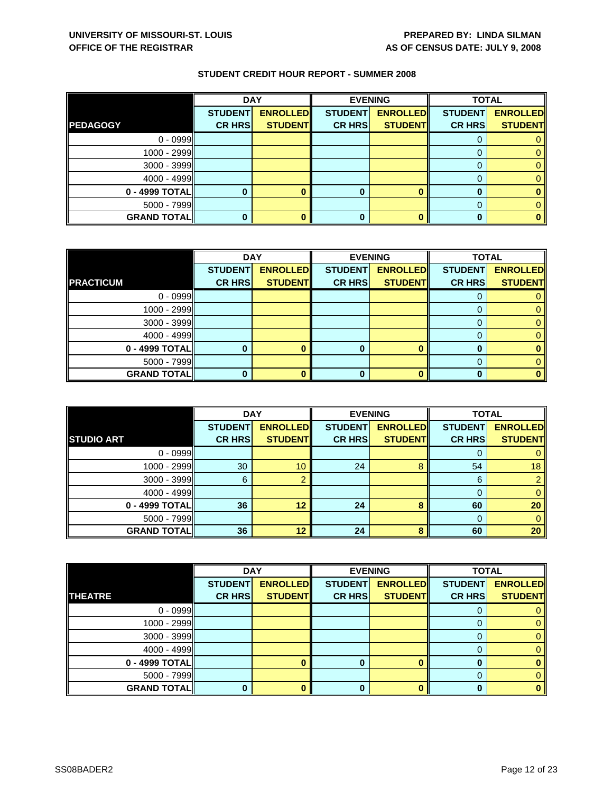|                     | <b>DAY</b>     |                 |                | <b>EVENING</b>  |                | <b>TOTAL</b>    |
|---------------------|----------------|-----------------|----------------|-----------------|----------------|-----------------|
|                     | <b>STUDENT</b> | <b>ENROLLED</b> | <b>STUDENT</b> | <b>ENROLLED</b> | <b>STUDENT</b> | <b>ENROLLED</b> |
| <b>PEDAGOGY</b>     | <b>CR HRS</b>  | <b>STUDENT</b>  | <b>CR HRS</b>  | <b>STUDENT</b>  | <b>CR HRS</b>  | <b>STUDENT</b>  |
| $0 - 0999$          |                |                 |                |                 |                |                 |
| 1000 - 2999         |                |                 |                |                 |                |                 |
| 3000 - 3999         |                |                 |                |                 |                |                 |
| $4000 - 4999$       |                |                 |                |                 |                |                 |
| 0 - 4999 TOTAL      |                |                 |                |                 |                |                 |
| 5000 - 7999         |                |                 |                |                 |                |                 |
| <b>GRAND TOTALI</b> |                |                 | 0              |                 |                |                 |

|                    | <b>DAY</b>     |                 | <b>EVENING</b> |                 | <b>TOTAL</b>   |                 |
|--------------------|----------------|-----------------|----------------|-----------------|----------------|-----------------|
|                    | <b>STUDENT</b> | <b>ENROLLED</b> | <b>STUDENT</b> | <b>ENROLLED</b> | <b>STUDENT</b> | <b>ENROLLED</b> |
| <b>PRACTICUM</b>   | <b>CR HRS</b>  | <b>STUDENT</b>  | <b>CR HRS</b>  | <b>STUDENT</b>  | <b>CR HRS</b>  | <b>STUDENT</b>  |
| $0 - 0999$         |                |                 |                |                 |                |                 |
| 1000 - 2999        |                |                 |                |                 |                | 0               |
| $3000 - 3999$      |                |                 |                |                 | $\Omega$       | 0               |
| $4000 - 4999$      |                |                 |                |                 | 0              | 0               |
| 0 - 4999 TOTAL     |                |                 | 0              |                 | 0              |                 |
| 5000 - 7999        |                |                 |                |                 | $\Omega$       | 0               |
| <b>GRAND TOTAL</b> |                |                 |                |                 | n              | ŋ.              |

|                     | <b>DAY</b>                      |                                   | <b>EVENING</b>                  |                                   | <b>TOTAL</b>                    |                                   |
|---------------------|---------------------------------|-----------------------------------|---------------------------------|-----------------------------------|---------------------------------|-----------------------------------|
| <b>STUDIO ART</b>   | <b>STUDENT</b><br><b>CR HRS</b> | <b>ENROLLED</b><br><b>STUDENT</b> | <b>STUDENT</b><br><b>CR HRS</b> | <b>ENROLLED</b><br><b>STUDENT</b> | <b>STUDENT</b><br><b>CR HRS</b> | <b>ENROLLED</b><br><b>STUDENT</b> |
| $0 - 0999$          |                                 |                                   |                                 |                                   |                                 |                                   |
| 1000 - 2999         | 30                              | 10                                | 24                              | Զ                                 | 54                              | 18                                |
| $3000 - 3999$       | 6                               |                                   |                                 |                                   | 6                               |                                   |
| $4000 - 4999$       |                                 |                                   |                                 |                                   |                                 |                                   |
| 0 - 4999 TOTAL      | 36                              | 12                                | 24                              | 8                                 | 60                              | 20                                |
| $5000 - 7999$       |                                 |                                   |                                 |                                   |                                 | 0                                 |
| <b>GRAND TOTALI</b> | 36                              | 12                                | 24                              | 8                                 | 60                              | 20                                |

|                    | <b>DAY</b>     |                 |                | <b>EVENING</b>  |                | <b>TOTAL</b>    |  |
|--------------------|----------------|-----------------|----------------|-----------------|----------------|-----------------|--|
|                    | <b>STUDENT</b> | <b>ENROLLED</b> | <b>STUDENT</b> | <b>ENROLLED</b> | <b>STUDENT</b> | <b>ENROLLED</b> |  |
| <b>THEATRE</b>     | <b>CR HRS</b>  | <b>STUDENT</b>  | <b>CR HRS</b>  | <b>STUDENT</b>  | <b>CR HRS</b>  | <b>STUDENT</b>  |  |
| $0 - 0999$         |                |                 |                |                 |                |                 |  |
| 1000 - 2999        |                |                 |                |                 |                | 0               |  |
| $3000 - 3999$      |                |                 |                |                 | 0              | 0               |  |
| $4000 - 4999$      |                |                 |                |                 | 0              | 0               |  |
| 0 - 4999 TOTAL     |                |                 | 0              |                 | 0              | 0               |  |
| $5000 - 7999$      |                |                 |                |                 | $\Omega$       | 0               |  |
| <b>GRAND TOTAL</b> |                |                 | ŋ              |                 | O              | 0               |  |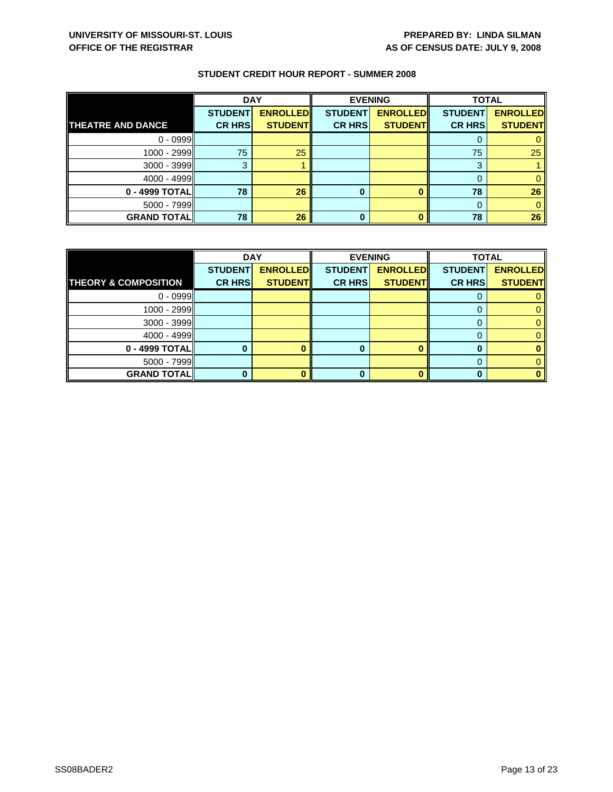|                          |                | <b>DAY</b>      |                | <b>EVENING</b>  |                | <b>TOTAL</b>    |  |
|--------------------------|----------------|-----------------|----------------|-----------------|----------------|-----------------|--|
|                          | <b>STUDENT</b> | <b>ENROLLED</b> | <b>STUDENT</b> | <b>ENROLLED</b> | <b>STUDENT</b> | <b>ENROLLED</b> |  |
| <b>THEATRE AND DANCE</b> | <b>CR HRS</b>  | <b>STUDENT</b>  | <b>CR HRS</b>  | <b>STUDENT</b>  | <b>CR HRS</b>  | <b>STUDENT</b>  |  |
| $0 - 0999$               |                |                 |                |                 |                |                 |  |
| $1000 - 2999$            | 75             | 25              |                |                 | 75             | 25              |  |
| $3000 - 3999$            | 3              |                 |                |                 | 3              |                 |  |
| $4000 - 4999$            |                |                 |                |                 |                |                 |  |
| 0 - 4999 TOTAL           | 78             | 26              | 0              |                 | 78             | 26              |  |
| $5000 - 7999$            |                |                 |                |                 | 0              |                 |  |
| <b>GRAND TOTAL</b>       | 78             | 26              | $\bf{0}$       |                 | 78             | 26              |  |

|                                 | <b>DAY</b>     |                 |                | <b>EVENING</b>  | <b>TOTAL</b>   |                 |
|---------------------------------|----------------|-----------------|----------------|-----------------|----------------|-----------------|
|                                 | <b>STUDENT</b> | <b>ENROLLED</b> | <b>STUDENT</b> | <b>ENROLLED</b> | <b>STUDENT</b> | <b>ENROLLED</b> |
| <b>THEORY &amp; COMPOSITION</b> | <b>CR HRS</b>  | <b>STUDENT</b>  | <b>CR HRS</b>  | <b>STUDENT</b>  | <b>CR HRS</b>  | <b>STUDENT</b>  |
| $0 - 0999$                      |                |                 |                |                 |                |                 |
| $1000 - 2999$                   |                |                 |                |                 |                |                 |
| $3000 - 3999$                   |                |                 |                |                 |                |                 |
| $4000 - 4999$                   |                |                 |                |                 |                |                 |
| 0 - 4999 TOTAL                  |                |                 | O              |                 |                |                 |
| $5000 - 7999$                   |                |                 |                |                 |                |                 |
| <b>GRAND TOTALI</b>             |                |                 |                |                 |                |                 |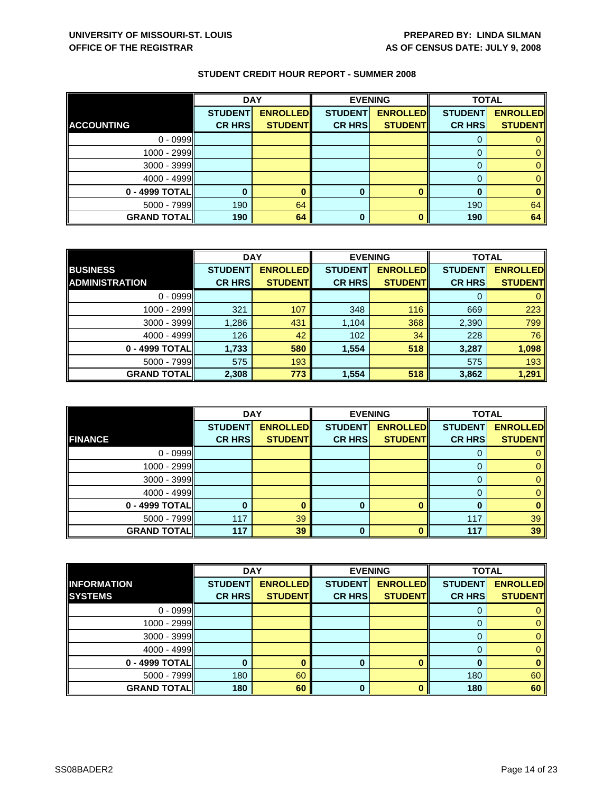|                    | <b>DAY</b>     |                 |                | <b>EVENING</b>  | <b>TOTAL</b>   |                 |
|--------------------|----------------|-----------------|----------------|-----------------|----------------|-----------------|
|                    | <b>STUDENT</b> | <b>ENROLLED</b> | <b>STUDENT</b> | <b>ENROLLED</b> | <b>STUDENT</b> | <b>ENROLLED</b> |
| <b>ACCOUNTING</b>  | <b>CR HRS</b>  | <b>STUDENT</b>  | <b>CR HRS</b>  | <b>STUDENT</b>  | <b>CR HRS</b>  | <b>STUDENT</b>  |
| $0 - 0999$         |                |                 |                |                 | U              |                 |
| $1000 - 2999$      |                |                 |                |                 |                |                 |
| $3000 - 3999$      |                |                 |                |                 |                |                 |
| $4000 - 4999$      |                |                 |                |                 |                |                 |
| 0 - 4999 TOTAL     |                |                 | 0              |                 | n              |                 |
| $5000 - 7999$      | 190            | 64              |                |                 | 190            | 64              |
| <b>GRAND TOTAL</b> | 190            | 64              | 0              |                 | 190            | 64              |

|                       | <b>DAY</b>     |                 |                | <b>EVENING</b>  | <b>TOTAL</b>   |                 |
|-----------------------|----------------|-----------------|----------------|-----------------|----------------|-----------------|
| <b>BUSINESS</b>       | <b>STUDENT</b> | <b>ENROLLED</b> | <b>STUDENT</b> | <b>ENROLLED</b> | <b>STUDENT</b> | <b>ENROLLED</b> |
| <b>ADMINISTRATION</b> | <b>CR HRS</b>  | <b>STUDENT</b>  | <b>CR HRS</b>  | <b>STUDENT</b>  | <b>CR HRS</b>  | <b>STUDENT</b>  |
| $0 - 0999$            |                |                 |                |                 | 0              | $\mathbf{0}$    |
| $1000 - 2999$         | 321            | 107             | 348            | 116             | 669            | 223             |
| $3000 - 3999$         | 1,286          | 431             | 1,104          | 368             | 2,390          | 799             |
| $4000 - 4999$         | 126            | 42              | 102            | 34              | 228            | 76              |
| 0 - 4999 TOTAL        | 1,733          | 580             | 1,554          | 518             | 3,287          | 1,098           |
| $5000 - 7999$         | 575            | 193             |                |                 | 575            | 193             |
| <b>GRAND TOTAL</b>    | 2,308          | 773             | 1,554          | 518             | 3,862          | 1,291           |

|                    | <b>DAY</b>                      |                                   |                                 | <b>EVENING</b>                    | <b>TOTAL</b>                    |                                   |
|--------------------|---------------------------------|-----------------------------------|---------------------------------|-----------------------------------|---------------------------------|-----------------------------------|
| <b>FINANCE</b>     | <b>STUDENT</b><br><b>CR HRS</b> | <b>ENROLLED</b><br><b>STUDENT</b> | <b>STUDENT</b><br><b>CR HRS</b> | <b>ENROLLED</b><br><b>STUDENT</b> | <b>STUDENT</b><br><b>CR HRS</b> | <b>ENROLLED</b><br><b>STUDENT</b> |
|                    |                                 |                                   |                                 |                                   |                                 |                                   |
| $0 - 0999$         |                                 |                                   |                                 |                                   | O                               |                                   |
| 1000 - 2999        |                                 |                                   |                                 |                                   |                                 |                                   |
| $3000 - 3999$      |                                 |                                   |                                 |                                   |                                 |                                   |
| $4000 - 4999$      |                                 |                                   |                                 |                                   | 0                               |                                   |
| 0 - 4999 TOTAL     |                                 |                                   | 0                               | n                                 | 0                               |                                   |
| $5000 - 7999$      | 117                             | 39                                |                                 |                                   | 117                             | 39                                |
| <b>GRAND TOTAL</b> | 117                             | 39                                | 0                               |                                   | 117                             | 39                                |

|                    | <b>DAY</b>     |                 | <b>EVENING</b> |                 | <b>TOTAL</b>   |                 |
|--------------------|----------------|-----------------|----------------|-----------------|----------------|-----------------|
| <b>INFORMATION</b> | <b>STUDENT</b> | <b>ENROLLED</b> | <b>STUDENT</b> | <b>ENROLLED</b> | <b>STUDENT</b> | <b>ENROLLED</b> |
| <b>SYSTEMS</b>     | <b>CR HRS</b>  | <b>STUDENT</b>  | <b>CR HRS</b>  | <b>STUDENT</b>  | <b>CR HRS</b>  | <b>STUDENT</b>  |
| $0 - 0999$         |                |                 |                |                 |                |                 |
| $1000 - 2999$      |                |                 |                |                 |                | 0               |
| $3000 - 3999$      |                |                 |                |                 | 0              | 0               |
| $4000 - 4999$      |                |                 |                |                 |                | $\mathbf{0}$    |
| 0 - 4999 TOTAL     |                |                 | 0              |                 |                | 0               |
| $5000 - 7999$      | 180            | 60              |                |                 | 180            | 60              |
| <b>GRAND TOTAL</b> | 180            | 60              | O              |                 | 180            | 60              |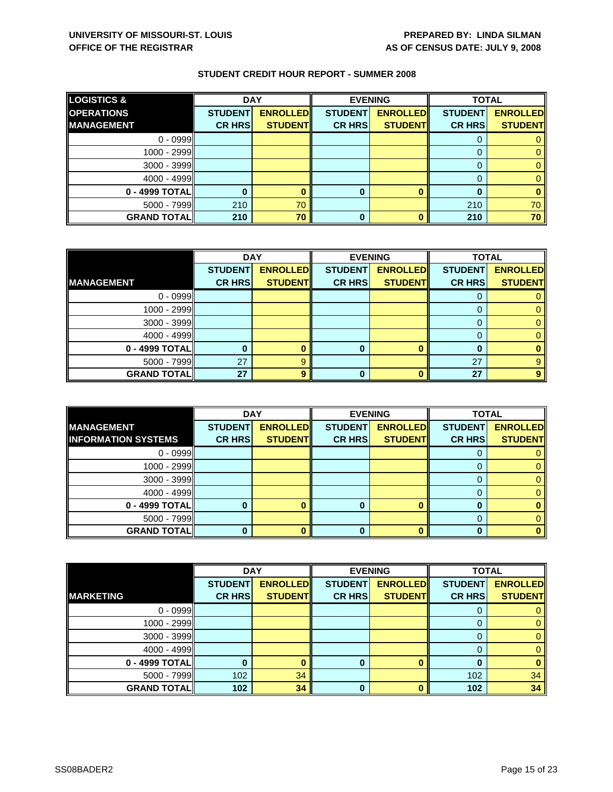| <b>LOGISTICS &amp;</b> | <b>DAY</b>     |                 |                | <b>EVENING</b>  | <b>TOTAL</b>   |                 |
|------------------------|----------------|-----------------|----------------|-----------------|----------------|-----------------|
| <b>OPERATIONS</b>      | <b>STUDENT</b> | <b>ENROLLED</b> | <b>STUDENT</b> | <b>ENROLLED</b> | <b>STUDENT</b> | <b>ENROLLED</b> |
| <b>IMANAGEMENT</b>     | <b>CR HRS</b>  | <b>STUDENT</b>  | <b>CR HRS</b>  | <b>STUDENT</b>  | <b>CR HRS</b>  | <b>STUDENT</b>  |
| $0 - 0999$             |                |                 |                |                 |                |                 |
| $1000 - 2999$          |                |                 |                |                 |                |                 |
| $3000 - 3999$          |                |                 |                |                 |                |                 |
| $4000 - 4999$          |                |                 |                |                 |                |                 |
| 0 - 4999 TOTAL         |                |                 | 0              |                 |                |                 |
| $5000 - 7999$          | 210            | 70              |                |                 | 210            | 70              |
| <b>GRAND TOTALI</b>    | 210            | 70              | 0              |                 | 210            | 70              |

|                    | <b>DAY</b>     |                 | <b>EVENING</b> |                 | <b>TOTAL</b>   |                 |
|--------------------|----------------|-----------------|----------------|-----------------|----------------|-----------------|
|                    | <b>STUDENT</b> | <b>ENROLLED</b> | <b>STUDENT</b> | <b>ENROLLED</b> | <b>STUDENT</b> | <b>ENROLLED</b> |
| <b>IMANAGEMENT</b> | <b>CR HRS</b>  | <b>STUDENT</b>  | <b>CR HRS</b>  | <b>STUDENT</b>  | <b>CR HRS</b>  | <b>STUDENT</b>  |
| $0 - 0999$         |                |                 |                |                 |                |                 |
| $1000 - 2999$      |                |                 |                |                 |                |                 |
| $3000 - 3999$      |                |                 |                |                 | O              |                 |
| $4000 - 4999$      |                |                 |                |                 |                |                 |
| 0 - 4999 TOTAL     |                |                 | 0              |                 | O              |                 |
| $5000 - 7999$      | 27             |                 |                |                 | 27             |                 |
| <b>GRAND TOTAL</b> | 27             |                 | O              |                 | 27             |                 |

|                            | <b>DAY</b>     |                 | <b>EVENING</b> |                 | <b>TOTAL</b>   |                 |
|----------------------------|----------------|-----------------|----------------|-----------------|----------------|-----------------|
| <b>MANAGEMENT</b>          | <b>STUDENT</b> | <b>ENROLLED</b> | <b>STUDENT</b> | <b>ENROLLED</b> | <b>STUDENT</b> | <b>ENROLLED</b> |
| <b>INFORMATION SYSTEMS</b> | <b>CR HRS</b>  | <b>STUDENT</b>  | <b>CR HRS</b>  | <b>STUDENT</b>  | <b>CR HRS</b>  | <b>STUDENT</b>  |
| $0 - 0999$                 |                |                 |                |                 |                |                 |
| 1000 - 2999                |                |                 |                |                 |                |                 |
| $3000 - 3999$              |                |                 |                |                 |                |                 |
| $4000 - 4999$              |                |                 |                |                 |                |                 |
| 0 - 4999 TOTAL             |                |                 |                | ∩               |                |                 |
| 5000 - 7999                |                |                 |                |                 |                |                 |
| <b>GRAND TOTAL</b>         |                |                 |                |                 |                |                 |

|                    | <b>DAY</b>     |                 |                | <b>EVENING</b>  | <b>TOTAL</b>   |                 |
|--------------------|----------------|-----------------|----------------|-----------------|----------------|-----------------|
|                    | <b>STUDENT</b> | <b>ENROLLED</b> | <b>STUDENT</b> | <b>ENROLLED</b> | <b>STUDENT</b> | <b>ENROLLED</b> |
| <b>MARKETING</b>   | <b>CR HRS</b>  | <b>STUDENT</b>  | <b>CR HRS</b>  | <b>STUDENT</b>  | <b>CR HRS</b>  | <b>STUDENT</b>  |
| $0 - 0999$         |                |                 |                |                 | O              |                 |
| $1000 - 2999$      |                |                 |                |                 | 0              | 0               |
| $3000 - 3999$      |                |                 |                |                 | 0              | 0               |
| $4000 - 4999$      |                |                 |                |                 |                | $\mathbf{0}$    |
| $0 - 4999$ TOTAL   |                |                 | 0              |                 | 0              | 0               |
| 5000 - 7999        | 102            | 34              |                |                 | 102            | 34              |
| <b>GRAND TOTAL</b> | 102            | 34              | ŋ              |                 | 102            | 34              |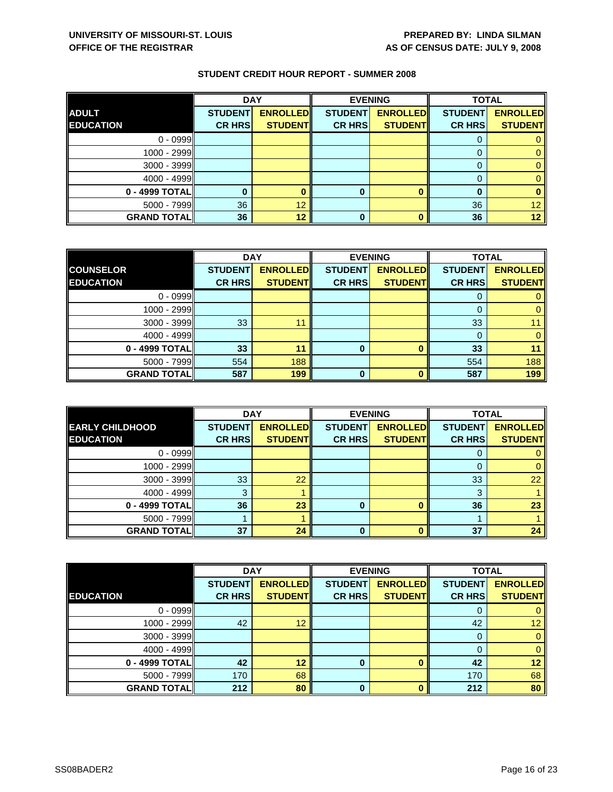|                    | <b>DAY</b>     |                 |                | <b>EVENING</b>  | <b>TOTAL</b>   |                 |
|--------------------|----------------|-----------------|----------------|-----------------|----------------|-----------------|
| <b>ADULT</b>       | <b>STUDENT</b> | <b>ENROLLED</b> | <b>STUDENT</b> | <b>ENROLLED</b> | <b>STUDENT</b> | <b>ENROLLED</b> |
| <b>EDUCATION</b>   | <b>CR HRS</b>  | <b>STUDENT</b>  | <b>CR HRS</b>  | <b>STUDENT</b>  | <b>CR HRS</b>  | <b>STUDENT</b>  |
| $0 - 0999$         |                |                 |                |                 |                |                 |
| $1000 - 2999$      |                |                 |                |                 |                |                 |
| $3000 - 3999$      |                |                 |                |                 |                |                 |
| $4000 - 4999$      |                |                 |                |                 |                |                 |
| $0 - 4999$ TOTAL   |                |                 | 0              |                 |                |                 |
| 5000 - 7999        | 36             | 12              |                |                 | 36             | 12 <sup>°</sup> |
| <b>GRAND TOTAL</b> | 36             | 12              | 0              |                 | 36             | 12              |

|                    | <b>DAY</b><br><b>EVENING</b> |                 |                | <b>TOTAL</b>    |                |                 |
|--------------------|------------------------------|-----------------|----------------|-----------------|----------------|-----------------|
| <b>COUNSELOR</b>   | <b>STUDENT</b>               | <b>ENROLLED</b> | <b>STUDENT</b> | <b>ENROLLED</b> | <b>STUDENT</b> | <b>ENROLLED</b> |
| <b>EDUCATION</b>   | <b>CR HRS</b>                | <b>STUDENT</b>  | <b>CR HRS</b>  | <b>STUDENT</b>  | <b>CR HRS</b>  | <b>STUDENT</b>  |
| $0 - 0999$         |                              |                 |                |                 |                |                 |
| 1000 - 2999        |                              |                 |                |                 | $\Omega$       |                 |
| $3000 - 3999$      | 33                           | 11              |                |                 | 33             |                 |
| $4000 - 4999$      |                              |                 |                |                 |                |                 |
| 0 - 4999 TOTAL     | 33                           | 11              | 0              | $\bf{0}$        | 33             |                 |
| $5000 - 7999$      | 554                          | 188             |                |                 | 554            | 188             |
| <b>GRAND TOTAL</b> | 587                          | 199             | 0              | O               | 587            | 199             |

|                        | <b>DAY</b>     |                 | <b>EVENING</b> |                 | <b>TOTAL</b>   |                 |
|------------------------|----------------|-----------------|----------------|-----------------|----------------|-----------------|
| <b>EARLY CHILDHOOD</b> | <b>STUDENT</b> | <b>ENROLLED</b> | <b>STUDENT</b> | <b>ENROLLED</b> | <b>STUDENT</b> | <b>ENROLLED</b> |
| <b>EDUCATION</b>       | <b>CR HRS</b>  | <b>STUDENT</b>  | <b>CR HRS</b>  | <b>STUDENT</b>  | <b>CR HRS</b>  | <b>STUDENT</b>  |
| $0 - 0999$             |                |                 |                |                 |                |                 |
| $1000 - 2999$          |                |                 |                |                 |                |                 |
| 3000 - 3999            | 33             | 22              |                |                 | 33             | 22              |
| $4000 - 4999$          | 3              |                 |                |                 | 3              |                 |
| 0 - 4999 TOTAL         | 36             | 23              | 0              |                 | 36             | 23              |
| $5000 - 7999$          |                |                 |                |                 |                |                 |
| <b>GRAND TOTAL</b>     | 37             | 24              | 0              |                 | 37             | 24              |

|                    | <b>DAY</b>     |                 |                | <b>EVENING</b>  |                | <b>TOTAL</b>    |  |
|--------------------|----------------|-----------------|----------------|-----------------|----------------|-----------------|--|
|                    | <b>STUDENT</b> | <b>ENROLLED</b> | <b>STUDENT</b> | <b>ENROLLED</b> | <b>STUDENT</b> | <b>ENROLLED</b> |  |
| <b>EDUCATION</b>   | <b>CR HRS</b>  | <b>STUDENT</b>  | <b>CR HRS</b>  | <b>STUDENT</b>  | <b>CR HRS</b>  | <b>STUDENT</b>  |  |
| $0 - 0999$         |                |                 |                |                 | 0              | 0               |  |
| 1000 - 2999        | 42             | 12              |                |                 | 42             | 12 <sup>1</sup> |  |
| $3000 - 3999$      |                |                 |                |                 | 0              | $\mathbf{0}$    |  |
| $4000 - 4999$      |                |                 |                |                 | 0              | $\mathbf{0}$    |  |
| 0 - 4999 TOTAL     | 42             | 12              | $\bf{0}$       |                 | 42             | 12 <sub>2</sub> |  |
| $5000 - 7999$      | 170            | 68              |                |                 | 170            | 68              |  |
| <b>GRAND TOTAL</b> | 212            | 80              | $\bf{0}$       | n               | 212            | 80              |  |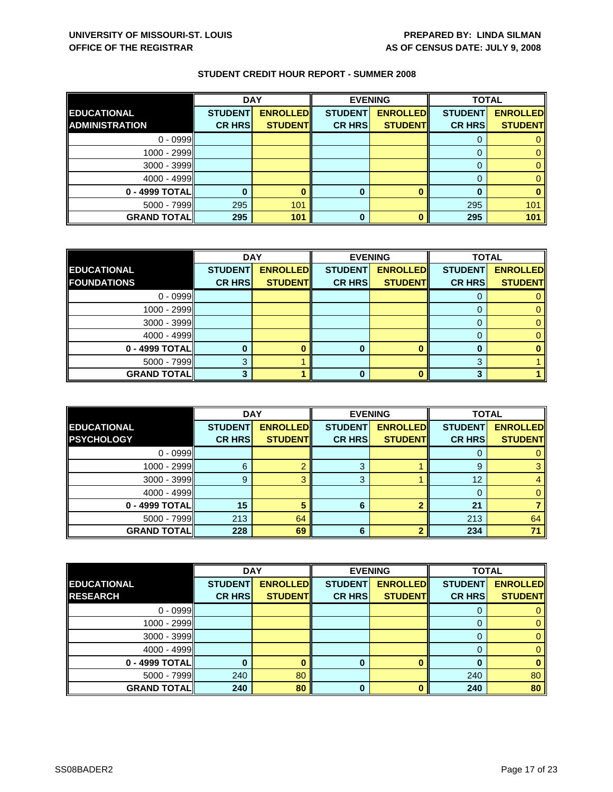|                       | <b>DAY</b>     |                 | <b>EVENING</b> |                 | <b>TOTAL</b>   |                 |
|-----------------------|----------------|-----------------|----------------|-----------------|----------------|-----------------|
| <b>EDUCATIONAL</b>    | <b>STUDENT</b> | <b>ENROLLED</b> | <b>STUDENT</b> | <b>ENROLLED</b> | <b>STUDENT</b> | <b>ENROLLED</b> |
| <b>ADMINISTRATION</b> | <b>CR HRS</b>  | <b>STUDENT</b>  | <b>CR HRS</b>  | <b>STUDENT</b>  | <b>CR HRS</b>  | <b>STUDENT</b>  |
| $0 - 0999$            |                |                 |                |                 |                |                 |
| 1000 - 2999           |                |                 |                |                 |                |                 |
| $3000 - 3999$         |                |                 |                |                 |                |                 |
| $4000 - 4999$         |                |                 |                |                 |                |                 |
| 0 - 4999 TOTAL        |                |                 | 0              |                 |                |                 |
| $5000 - 7999$         | 295            | 101             |                |                 | 295            | 101             |
| <b>GRAND TOTALI</b>   | 295            | 101             | 0              |                 | 295            | 101             |

|                    | <b>DAY</b>     |                 |                | <b>EVENING</b>  | <b>TOTAL</b>   |                 |
|--------------------|----------------|-----------------|----------------|-----------------|----------------|-----------------|
| <b>EDUCATIONAL</b> | <b>STUDENT</b> | <b>ENROLLED</b> | <b>STUDENT</b> | <b>ENROLLED</b> | <b>STUDENT</b> | <b>ENROLLED</b> |
| <b>FOUNDATIONS</b> | <b>CR HRS</b>  | <b>STUDENT</b>  | <b>CR HRS</b>  | <b>STUDENT</b>  | <b>CR HRS</b>  | <b>STUDENT</b>  |
| $0 - 0999$         |                |                 |                |                 |                |                 |
| 1000 - 2999        |                |                 |                |                 |                |                 |
| $3000 - 3999$      |                |                 |                |                 |                |                 |
| $4000 - 4999$      |                |                 |                |                 |                |                 |
| 0 - 4999 TOTAL     |                |                 |                |                 | O              |                 |
| $5000 - 7999$      |                |                 |                |                 | ≏              |                 |
| <b>GRAND TOTAL</b> |                |                 |                | ∩               | ≏              |                 |

|                                         | <b>DAY</b>                      |                                   | <b>EVENING</b>                  |                                   | <b>TOTAL</b>                    |                                   |
|-----------------------------------------|---------------------------------|-----------------------------------|---------------------------------|-----------------------------------|---------------------------------|-----------------------------------|
| <b>EDUCATIONAL</b><br><b>PSYCHOLOGY</b> | <b>STUDENT</b><br><b>CR HRS</b> | <b>ENROLLED</b><br><b>STUDENT</b> | <b>STUDENT</b><br><b>CR HRS</b> | <b>ENROLLED</b><br><b>STUDENT</b> | <b>STUDENT</b><br><b>CR HRS</b> | <b>ENROLLED</b><br><b>STUDENT</b> |
|                                         |                                 |                                   |                                 |                                   |                                 |                                   |
| $0 - 0999$                              |                                 |                                   |                                 |                                   |                                 |                                   |
| $1000 - 2999$                           | 6                               |                                   | 3                               |                                   | 9                               |                                   |
| $3000 - 3999$                           | 9                               |                                   | 3                               |                                   | 12                              |                                   |
| $4000 - 4999$                           |                                 |                                   |                                 |                                   |                                 |                                   |
| 0 - 4999 TOTAL                          | 15                              |                                   | 6                               |                                   | 21                              |                                   |
| $5000 - 7999$                           | 213                             | 64                                |                                 |                                   | 213                             | 64                                |
| <b>GRAND TOTAL</b>                      | 228                             | 69                                | 6                               |                                   | 234                             | 71                                |

|                    | <b>DAY</b>     |                 |                | <b>EVENING</b>  | <b>TOTAL</b>   |                 |
|--------------------|----------------|-----------------|----------------|-----------------|----------------|-----------------|
| <b>EDUCATIONAL</b> | <b>STUDENT</b> | <b>ENROLLED</b> | <b>STUDENT</b> | <b>ENROLLED</b> | <b>STUDENT</b> | <b>ENROLLED</b> |
| <b>RESEARCH</b>    | <b>CR HRS</b>  | <b>STUDENT</b>  | <b>CR HRS</b>  | <b>STUDENT</b>  | <b>CR HRS</b>  | <b>STUDENT</b>  |
| $0 - 0999$         |                |                 |                |                 | O              | 0               |
| 1000 - 2999        |                |                 |                |                 | 0              | $\mathbf{0}$    |
| $3000 - 3999$      |                |                 |                |                 | 0              | 0               |
| $4000 - 4999$      |                |                 |                |                 | 0              | $\mathbf{0}$    |
| 0 - 4999 TOTAL     |                |                 | 0              |                 | 0              | $\bf{0}$        |
| $5000 - 7999$      | 240            | 80              |                |                 | 240            | 80              |
| <b>GRAND TOTAL</b> | 240            | 80              | $\bf{0}$       |                 | 240            | 80              |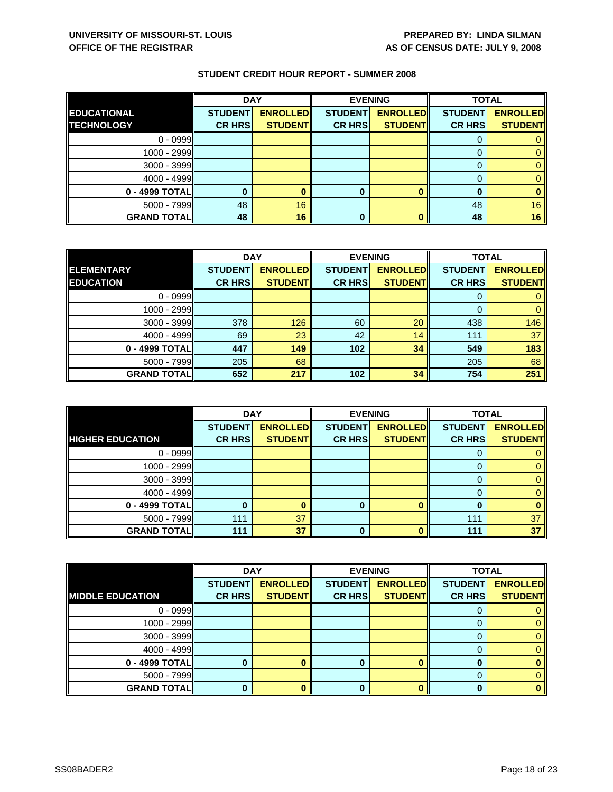|                    | <b>DAY</b>     |                 | <b>EVENING</b> |                 | <b>TOTAL</b>   |                 |
|--------------------|----------------|-----------------|----------------|-----------------|----------------|-----------------|
| <b>EDUCATIONAL</b> | <b>STUDENT</b> | <b>ENROLLED</b> | <b>STUDENT</b> | <b>ENROLLED</b> | <b>STUDENT</b> | <b>ENROLLED</b> |
| <b>TECHNOLOGY</b>  | <b>CR HRS</b>  | <b>STUDENT</b>  | <b>CR HRS</b>  | <b>STUDENT</b>  | <b>CR HRS</b>  | <b>STUDENT</b>  |
| $0 - 0999$         |                |                 |                |                 |                |                 |
| 1000 - 2999        |                |                 |                |                 |                |                 |
| $3000 - 3999$      |                |                 |                |                 |                |                 |
| $4000 - 4999$      |                |                 |                |                 |                |                 |
| 0 - 4999 TOTAL     |                |                 | 0              |                 |                |                 |
| $5000 - 7999$      | 48             | 16              |                |                 | 48             | 16              |
| <b>GRAND TOTAL</b> | 48             | 16              | 0              |                 | 48             | 16              |

|                    | <b>DAY</b>     |                 |                | <b>EVENING</b>  | <b>TOTAL</b>   |                 |
|--------------------|----------------|-----------------|----------------|-----------------|----------------|-----------------|
| <b>ELEMENTARY</b>  | <b>STUDENT</b> | <b>ENROLLED</b> | <b>STUDENT</b> | <b>ENROLLED</b> | <b>STUDENT</b> | <b>ENROLLED</b> |
| <b>EDUCATION</b>   | <b>CR HRS</b>  | <b>STUDENT</b>  | <b>CR HRS</b>  | <b>STUDENT</b>  | <b>CR HRS</b>  | <b>STUDENT</b>  |
| $0 - 0999$         |                |                 |                |                 |                |                 |
| $1000 - 2999$      |                |                 |                |                 | $\Omega$       |                 |
| $3000 - 3999$      | 378            | 126             | 60             | 20              | 438            | 146             |
| $4000 - 4999$      | 69             | 23              | 42             | 14              | 111            | 37              |
| 0 - 4999 TOTAL     | 447            | 149             | 102            | 34              | 549            | 183             |
| $5000 - 7999$      | 205            | 68              |                |                 | 205            | 68              |
| <b>GRAND TOTAL</b> | 652            | 217             | 102            | 34              | 754            | 251             |

|                         | <b>DAY</b>                      |                                   |                                 | <b>EVENING</b>                    | <b>TOTAL</b>                    |                                   |
|-------------------------|---------------------------------|-----------------------------------|---------------------------------|-----------------------------------|---------------------------------|-----------------------------------|
| <b>HIGHER EDUCATION</b> | <b>STUDENT</b><br><b>CR HRS</b> | <b>ENROLLED</b><br><b>STUDENT</b> | <b>STUDENT</b><br><b>CR HRS</b> | <b>ENROLLED</b><br><b>STUDENT</b> | <b>STUDENT</b><br><b>CR HRS</b> | <b>ENROLLED</b><br><b>STUDENT</b> |
|                         |                                 |                                   |                                 |                                   |                                 |                                   |
| $0 - 0999$              |                                 |                                   |                                 |                                   | O                               |                                   |
| 1000 - 2999             |                                 |                                   |                                 |                                   |                                 |                                   |
| $3000 - 3999$           |                                 |                                   |                                 |                                   |                                 |                                   |
| $4000 - 4999$           |                                 |                                   |                                 |                                   | 0                               |                                   |
| 0 - 4999 TOTAL          |                                 |                                   |                                 | ∩                                 |                                 |                                   |
| $5000 - 7999$           | 111                             | 37                                |                                 |                                   | 111                             | 37                                |
| <b>GRAND TOTAL</b>      | 111                             | 37                                | 0                               |                                   | 111                             | 37                                |

|                          | <b>DAY</b>     |                 |                | <b>EVENING</b>  | <b>TOTAL</b>   |                 |
|--------------------------|----------------|-----------------|----------------|-----------------|----------------|-----------------|
|                          | <b>STUDENT</b> | <b>ENROLLED</b> | <b>STUDENT</b> | <b>ENROLLED</b> | <b>STUDENT</b> | <b>ENROLLED</b> |
| <b>IMIDDLE EDUCATION</b> | <b>CR HRS</b>  | <b>STUDENT</b>  | <b>CR HRS</b>  | <b>STUDENT</b>  | <b>CR HRS</b>  | <b>STUDENT</b>  |
| $0 - 0999$               |                |                 |                |                 |                |                 |
| $1000 - 2999$            |                |                 |                |                 |                | 0               |
| $3000 - 3999$            |                |                 |                |                 | $\Omega$       |                 |
| $4000 - 4999$            |                |                 |                |                 | 0              |                 |
| 0 - 4999 TOTAL           |                |                 | n              |                 |                |                 |
| $5000 - 7999$            |                |                 |                |                 | 0              |                 |
| <b>GRAND TOTAL</b>       |                |                 |                |                 |                |                 |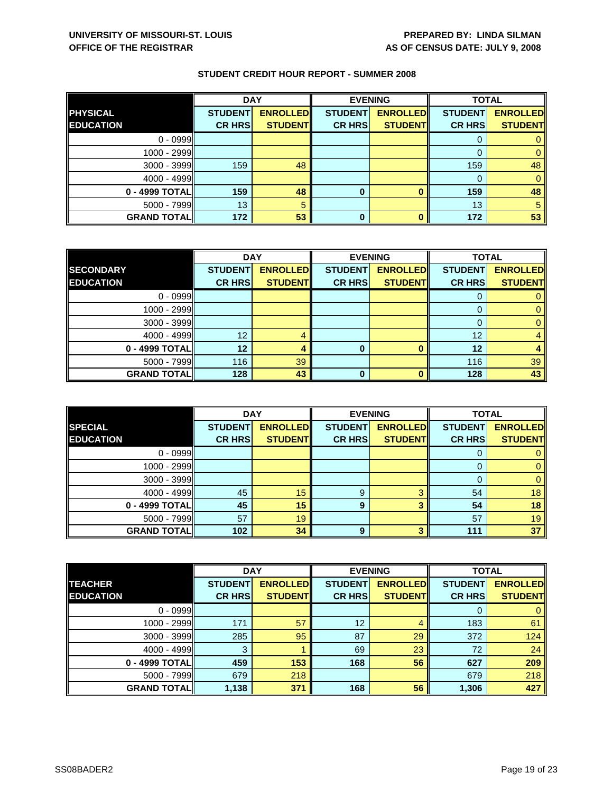|                    | <b>DAY</b>     |                 |                | <b>EVENING</b>  | <b>TOTAL</b>   |                 |
|--------------------|----------------|-----------------|----------------|-----------------|----------------|-----------------|
| <b>PHYSICAL</b>    | <b>STUDENT</b> | <b>ENROLLED</b> | <b>STUDENT</b> | <b>ENROLLED</b> | <b>STUDENT</b> | <b>ENROLLED</b> |
| <b>EDUCATION</b>   | <b>CR HRS</b>  | <b>STUDENT</b>  | <b>CR HRS</b>  | <b>STUDENT</b>  | <b>CR HRS</b>  | <b>STUDENT</b>  |
| $0 - 0999$         |                |                 |                |                 |                |                 |
| 1000 - 2999        |                |                 |                |                 |                |                 |
| $3000 - 3999$      | 159            | 48              |                |                 | 159            | 48              |
| $4000 - 4999$      |                |                 |                |                 | 0              |                 |
| 0 - 4999 TOTAL     | 159            | 48              | 0              |                 | 159            | 48              |
| $5000 - 7999$      | 13             | 5               |                |                 | 13             | 5               |
| <b>GRAND TOTAL</b> | 172            | 53              | 0              |                 | 172            | 53              |

|                    | <b>DAY</b>     |                 |                | <b>EVENING</b>  | <b>TOTAL</b>   |                 |
|--------------------|----------------|-----------------|----------------|-----------------|----------------|-----------------|
| <b>SECONDARY</b>   | <b>STUDENT</b> | <b>ENROLLED</b> | <b>STUDENT</b> | <b>ENROLLED</b> | <b>STUDENT</b> | <b>ENROLLED</b> |
| <b>EDUCATION</b>   | <b>CR HRS</b>  | <b>STUDENT</b>  | <b>CR HRS</b>  | <b>STUDENT</b>  | <b>CR HRS</b>  | <b>STUDENT</b>  |
| $0 - 0999$         |                |                 |                |                 |                |                 |
| $1000 - 2999$      |                |                 |                |                 | $\mathbf{O}$   |                 |
| $3000 - 3999$      |                |                 |                |                 | O              |                 |
| $4000 - 4999$      | 12             |                 |                |                 | 12             |                 |
| 0 - 4999 TOTAL     | 12             |                 | 0              |                 | 12             |                 |
| $5000 - 7999$      | 116            | 39              |                |                 | 116            | 39              |
| <b>GRAND TOTAL</b> | 128            | 43              | O              |                 | 128            | 43              |

|                    | <b>DAY</b>     |                 |                | <b>EVENING</b>  | <b>TOTAL</b>   |                 |
|--------------------|----------------|-----------------|----------------|-----------------|----------------|-----------------|
| <b>SPECIAL</b>     | <b>STUDENT</b> | <b>ENROLLED</b> | <b>STUDENT</b> | <b>ENROLLED</b> | <b>STUDENT</b> | <b>ENROLLED</b> |
| <b>EDUCATION</b>   | <b>CR HRS</b>  | <b>STUDENT</b>  | <b>CR HRS</b>  | <b>STUDENT</b>  | <b>CR HRS</b>  | <b>STUDENT</b>  |
| $0 - 0999$         |                |                 |                |                 |                |                 |
| $1000 - 2999$      |                |                 |                |                 | 0              |                 |
| $3000 - 3999$      |                |                 |                |                 | $\Omega$       |                 |
| $4000 - 4999$      | 45             | 15              | 9              | 2               | 54             | 18              |
| 0 - 4999 TOTAL     | 45             | 15              | 9              | 2               | 54             | 18              |
| $5000 - 7999$      | 57             | 19              |                |                 | 57             | 19              |
| <b>GRAND TOTAL</b> | 102            | 34              | 9              |                 | 111            | 37              |

|                    | <b>DAY</b>     |                 | <b>EVENING</b>  | <b>TOTAL</b>    |                |                 |
|--------------------|----------------|-----------------|-----------------|-----------------|----------------|-----------------|
| <b>TEACHER</b>     | <b>STUDENT</b> | <b>ENROLLED</b> | <b>STUDENT</b>  | <b>ENROLLED</b> | <b>STUDENT</b> | <b>ENROLLED</b> |
| <b>EDUCATION</b>   | <b>CR HRS</b>  | <b>STUDENT</b>  | <b>CR HRS</b>   | <b>STUDENT</b>  | <b>CR HRS</b>  | <b>STUDENT</b>  |
| $0 - 0999$         |                |                 |                 |                 | 0              | $\mathbf{0}$    |
| 1000 - 2999        | 171            | 57              | 12 <sup>2</sup> | 4               | 183            | 61              |
| $3000 - 3999$      | 285            | 95              | 87              | 29              | 372            | 124             |
| 4000 - 4999        | 3              |                 | 69              | 23              | 72             | 24              |
| 0 - 4999 TOTAL     | 459            | 153             | 168             | 56              | 627            | 209             |
| 5000 - 7999        | 679            | 218             |                 |                 | 679            | 218             |
| <b>GRAND TOTAL</b> | 1,138          | 371             | 168             | 56              | 1,306          | 427             |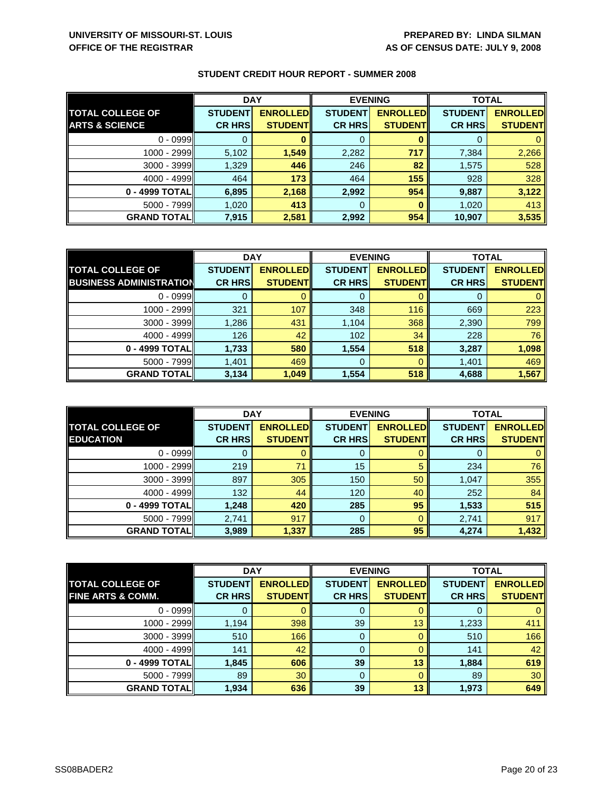|                           | <b>DAY</b>     |                 | <b>EVENING</b> |                 | <b>TOTAL</b>   |                 |
|---------------------------|----------------|-----------------|----------------|-----------------|----------------|-----------------|
| <b>TOTAL COLLEGE OF</b>   | <b>STUDENT</b> | <b>ENROLLED</b> | <b>STUDENT</b> | <b>ENROLLED</b> | <b>STUDENT</b> | <b>ENROLLED</b> |
| <b>ARTS &amp; SCIENCE</b> | <b>CR HRS</b>  | <b>STUDENT</b>  | <b>CR HRS</b>  | <b>STUDENT</b>  | <b>CR HRS</b>  | <b>STUDENT</b>  |
| $0 - 0999$                |                |                 | 0              |                 |                |                 |
| 1000 - 2999               | 5,102          | 1,549           | 2,282          | 717             | 7,384          | 2,266           |
| $3000 - 3999$             | 1,329          | 446             | 246            | 82              | 1,575          | 528             |
| $4000 - 4999$             | 464            | 173             | 464            | 155             | 928            | 328             |
| 0 - 4999 TOTALI           | 6,895          | 2,168           | 2,992          | 954             | 9,887          | 3,122           |
| $5000 - 7999$             | 1,020          | 413             | 0              |                 | 1,020          | 413             |
| <b>GRAND TOTAL</b>        | 7,915          | 2,581           | 2,992          | 954             | 10,907         | 3,535           |

|                                | <b>DAY</b>     |                 |                | <b>EVENING</b>  | <b>TOTAL</b>   |                 |
|--------------------------------|----------------|-----------------|----------------|-----------------|----------------|-----------------|
| <b>TOTAL COLLEGE OF</b>        | <b>STUDENT</b> | <b>ENROLLED</b> | <b>STUDENT</b> | <b>ENROLLED</b> | <b>STUDENT</b> | <b>ENROLLED</b> |
| <b>BUSINESS ADMINISTRATION</b> | <b>CR HRS</b>  | <b>STUDENT</b>  | <b>CR HRS</b>  | <b>STUDENT</b>  | <b>CR HRS</b>  | <b>STUDENT</b>  |
| $0 - 0999$                     |                |                 | 0              |                 |                |                 |
| 1000 - 2999                    | 321            | 107             | 348            | 116             | 669            | 223             |
| $3000 - 3999$                  | 1,286          | 431             | 1,104          | 368             | 2,390          | 799             |
| $4000 - 4999$                  | 126            | 42              | 102            | 34              | 228            | 76              |
| 0 - 4999 TOTAL                 | 1,733          | 580             | 1,554          | 518             | 3,287          | 1,098           |
| $5000 - 7999$                  | 1,401          | 469             | 0              |                 | 1,401          | 469             |
| <b>GRAND TOTAL</b>             | 3,134          | 1,049           | 1,554          | 518             | 4,688          | 1,567           |

|                                             | <b>DAY</b>     |                                    |                | <b>EVENING</b>                    | <b>TOTAL</b>   |                                   |
|---------------------------------------------|----------------|------------------------------------|----------------|-----------------------------------|----------------|-----------------------------------|
| <b>TOTAL COLLEGE OF</b><br><b>EDUCATION</b> | <b>STUDENT</b> | <b>ENROLLED</b><br><b>STUDENTI</b> | <b>STUDENT</b> | <b>ENROLLED</b><br><b>STUDENT</b> | <b>STUDENT</b> | <b>ENROLLED</b><br><b>STUDENT</b> |
|                                             | <b>CR HRS</b>  |                                    | <b>CR HRS</b>  |                                   | <b>CR HRS</b>  |                                   |
| $0 - 0999$                                  |                |                                    | 0              |                                   | U              |                                   |
| $1000 - 2999$                               | 219            | 71                                 | 15             | 5                                 | 234            | 76                                |
| $3000 - 3999$                               | 897            | 305                                | 150            | 50                                | 1,047          | 355                               |
| $4000 - 4999$                               | 132            | 44                                 | 120            | 40                                | 252            | 84                                |
| 0 - 4999 TOTAL                              | 1,248          | 420                                | 285            | 95                                | 1,533          | 515                               |
| $5000 - 7999$                               | 2,741          | 917                                | 0              |                                   | 2,741          | 917                               |
| <b>GRAND TOTALI</b>                         | 3,989          | 1,337                              | 285            | 95                                | 4,274          | 1,432                             |

|                              | <b>DAY</b>     |                 |                | <b>EVENING</b>  | <b>TOTAL</b>   |                 |
|------------------------------|----------------|-----------------|----------------|-----------------|----------------|-----------------|
| <b>TOTAL COLLEGE OF</b>      | <b>STUDENT</b> | <b>ENROLLED</b> | <b>STUDENT</b> | <b>ENROLLED</b> | <b>STUDENT</b> | <b>ENROLLED</b> |
| <b>FINE ARTS &amp; COMM.</b> | <b>CR HRS</b>  | <b>STUDENT</b>  | <b>CR HRS</b>  | <b>STUDENT</b>  | <b>CR HRS</b>  | <b>STUDENT</b>  |
| $0 - 0999$                   |                |                 | 0              |                 | O              | 0               |
| 1000 - 2999                  | 1,194          | 398             | 39             | 13              | 1,233          | 411             |
| 3000 - 3999                  | 510            | 166             | 0              |                 | 510            | 166             |
| $4000 - 4999$                | 141            | 42              | 0              |                 | 141            | 42              |
| 0 - 4999 TOTAL               | 1,845          | 606             | 39             | 13              | 1,884          | 619             |
| $5000 - 7999$                | 89             | 30              | 0              |                 | 89             | 30              |
| <b>GRAND TOTAL</b>           | 1,934          | 636             | 39             | 13              | 1,973          | 649             |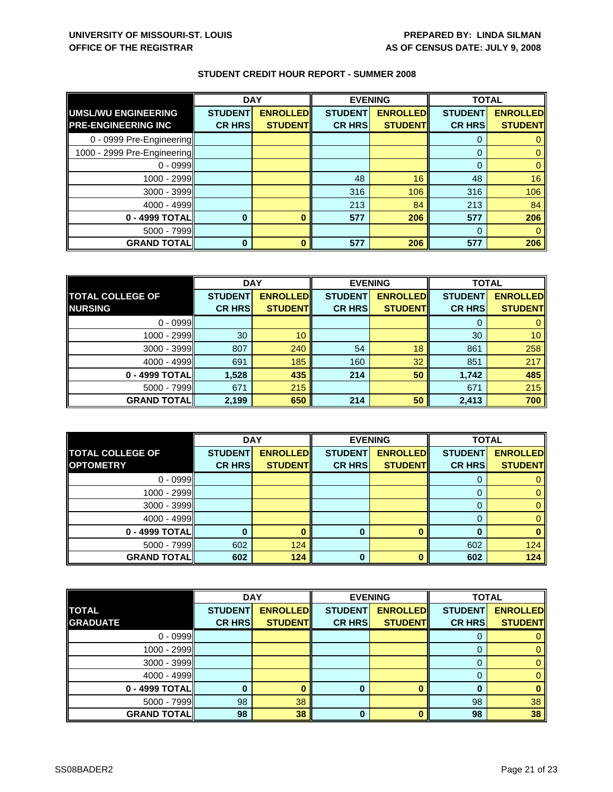| <b>STUDENT CREDIT HOUR REPORT - SUMMER 2008</b> |  |
|-------------------------------------------------|--|
|-------------------------------------------------|--|

|                             | <b>DAY</b>     |                 | <b>EVENING</b> |                 |                | <b>TOTAL</b>    |  |
|-----------------------------|----------------|-----------------|----------------|-----------------|----------------|-----------------|--|
| UMSL/WU ENGINEERING         | <b>STUDENT</b> | <b>ENROLLED</b> | <b>STUDENT</b> | <b>ENROLLED</b> | <b>STUDENT</b> | <b>ENROLLED</b> |  |
| <b>PRE-ENGINEERING INC</b>  | <b>CR HRS</b>  | <b>STUDENT</b>  | <b>CR HRS</b>  | <b>STUDENT</b>  | <b>CR HRS</b>  | <b>STUDENT</b>  |  |
| 0 - 0999 Pre-Engineering    |                |                 |                |                 |                |                 |  |
| 1000 - 2999 Pre-Engineering |                |                 |                |                 | $\Omega$       |                 |  |
| $0 - 0999$                  |                |                 |                |                 | $\Omega$       |                 |  |
| 1000 - 2999                 |                |                 | 48             | 16              | 48             | 16              |  |
| $3000 - 3999$               |                |                 | 316            | 106             | 316            | 106             |  |
| $4000 - 4999$               |                |                 | 213            | 84              | 213            | 84              |  |
| 0 - 4999 TOTAL              |                |                 | 577            | 206             | 577            | 206             |  |
| $5000 - 7999$               |                |                 |                |                 | $\Omega$       |                 |  |
| <b>GRAND TOTAL</b>          | 0              |                 | 577            | 206             | 577            | 206             |  |

|                         | <b>DAY</b>     |                 | <b>EVENING</b> |                 | <b>TOTAL</b>   |                 |
|-------------------------|----------------|-----------------|----------------|-----------------|----------------|-----------------|
| <b>TOTAL COLLEGE OF</b> | <b>STUDENT</b> | <b>ENROLLED</b> | <b>STUDENT</b> | <b>ENROLLED</b> | <b>STUDENT</b> | <b>ENROLLED</b> |
| <b>NURSING</b>          | <b>CR HRS</b>  | <b>STUDENT</b>  | <b>CR HRS</b>  | <b>STUDENT</b>  | <b>CR HRS</b>  | <b>STUDENT</b>  |
| $0 - 0999$              |                |                 |                |                 |                |                 |
| 1000 - 2999II           | 30             | 10              |                |                 | 30             | 10              |
| $3000 - 3999$           | 807            | 240             | 54             | 18              | 861            | 258             |
| $4000 - 4999$           | 691            | 185             | 160            | 32              | 851            | 217             |
| 0 - 4999 TOTAL          | 1,528          | 435             | 214            | 50              | 1,742          | 485             |
| $5000 - 7999$           | 671            | 215             |                |                 | 671            | 215             |
| <b>GRAND TOTAL</b>      | 2,199          | 650             | 214            | 50              | 2,413          | 700             |

|                         | <b>DAY</b>     |                 |                | <b>EVENING</b>  | <b>TOTAL</b>   |                 |
|-------------------------|----------------|-----------------|----------------|-----------------|----------------|-----------------|
| <b>TOTAL COLLEGE OF</b> | <b>STUDENT</b> | <b>ENROLLED</b> | <b>STUDENT</b> | <b>ENROLLED</b> | <b>STUDENT</b> | <b>ENROLLED</b> |
| <b>OPTOMETRY</b>        | <b>CR HRS</b>  | <b>STUDENT</b>  | <b>CR HRS</b>  | <b>STUDENT</b>  | <b>CR HRS</b>  | <b>STUDENT</b>  |
| $0 - 0999$              |                |                 |                |                 |                |                 |
| 1000 - 2999             |                |                 |                |                 |                |                 |
| $3000 - 3999$           |                |                 |                |                 |                |                 |
| $4000 - 4999$           |                |                 |                |                 |                |                 |
| 0 - 4999 TOTAL          |                |                 | 0              |                 |                |                 |
| $5000 - 7999$           | 602            | 124             |                |                 | 602            | 124             |
| <b>GRAND TOTAL</b>      | 602            | 124             | U              |                 | 602            | 124             |

|                    | <b>DAY</b><br><b>EVENING</b> |                 |                | <b>TOTAL</b>    |                |                 |
|--------------------|------------------------------|-----------------|----------------|-----------------|----------------|-----------------|
| <b>TOTAL</b>       | <b>STUDENT</b>               | <b>ENROLLED</b> | <b>STUDENT</b> | <b>ENROLLED</b> | <b>STUDENT</b> | <b>ENROLLED</b> |
| <b>GRADUATE</b>    | <b>CR HRS</b>                | <b>STUDENTI</b> | <b>CR HRS</b>  | <b>STUDENT</b>  | <b>CR HRS</b>  | <b>STUDENT</b>  |
| $0 - 0999$         |                              |                 |                |                 |                |                 |
| 1000 - 2999        |                              |                 |                |                 |                |                 |
| 3000 - 3999        |                              |                 |                |                 |                |                 |
| $4000 - 4999$      |                              |                 |                |                 |                |                 |
| 0 - 4999 TOTAL     | 0                            |                 | 0              |                 |                |                 |
| $5000 - 7999$      | 98                           | 38              |                |                 | 98             | 38              |
| <b>GRAND TOTAL</b> | 98                           | 38              | 0              |                 | 98             | 38              |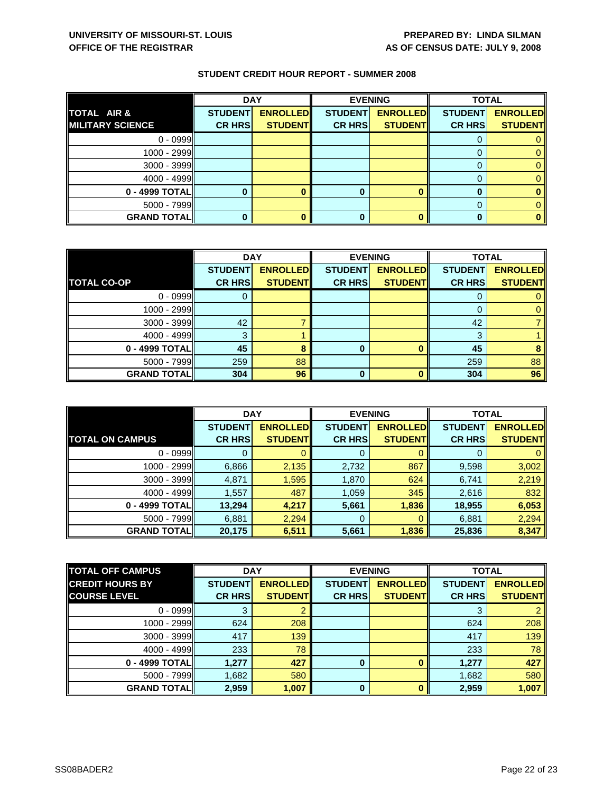|                         | <b>DAY</b>     |                 | <b>EVENING</b> |                 | <b>TOTAL</b>   |                 |
|-------------------------|----------------|-----------------|----------------|-----------------|----------------|-----------------|
| TOTAL AIR &             | <b>STUDENT</b> | <b>ENROLLED</b> | <b>STUDENT</b> | <b>ENROLLED</b> | <b>STUDENT</b> | <b>ENROLLED</b> |
| <b>MILITARY SCIENCE</b> | <b>CR HRS</b>  | <b>STUDENT</b>  | <b>CR HRS</b>  | <b>STUDENT</b>  | <b>CR HRS</b>  | <b>STUDENT</b>  |
| $0 - 0999$              |                |                 |                |                 |                |                 |
| 1000 - 2999             |                |                 |                |                 |                |                 |
| $3000 - 3999$           |                |                 |                |                 |                |                 |
| $4000 - 4999$           |                |                 |                |                 |                |                 |
| 0 - 4999 TOTAL          |                |                 |                |                 |                |                 |
| 5000 - 7999             |                |                 |                |                 |                |                 |
| <b>GRAND TOTAL</b>      |                |                 |                |                 |                |                 |

|                    | <b>DAY</b>     |                 |                | <b>EVENING</b>  | <b>TOTAL</b>   |                 |
|--------------------|----------------|-----------------|----------------|-----------------|----------------|-----------------|
|                    | <b>STUDENT</b> | <b>ENROLLED</b> | <b>STUDENT</b> | <b>ENROLLED</b> | <b>STUDENT</b> | <b>ENROLLED</b> |
| <b>TOTAL CO-OP</b> | <b>CR HRS</b>  | <b>STUDENT</b>  | <b>CR HRS</b>  | <b>STUDENT</b>  | <b>CR HRS</b>  | <b>STUDENT</b>  |
| $0 - 0999$         |                |                 |                |                 |                |                 |
| $1000 - 2999$      |                |                 |                |                 | O              |                 |
| $3000 - 3999$      | 42             |                 |                |                 | 42             |                 |
| $4000 - 4999$      | З              |                 |                |                 | 3              |                 |
| 0 - 4999 TOTAL     | 45             |                 | 0              |                 | 45             |                 |
| $5000 - 7999$      | 259            | 88              |                |                 | 259            | 88              |
| <b>GRAND TOTAL</b> | 304            | 96              | 0              |                 | 304            | 96              |

|                        | <b>DAY</b>                      |                                    | <b>EVENING</b>                  |                                    | <b>TOTAL</b>                    |                                   |
|------------------------|---------------------------------|------------------------------------|---------------------------------|------------------------------------|---------------------------------|-----------------------------------|
| <b>TOTAL ON CAMPUS</b> | <b>STUDENT</b><br><b>CR HRS</b> | <b>ENROLLED</b><br><b>STUDENTI</b> | <b>STUDENT</b><br><b>CR HRS</b> | <b>ENROLLED</b><br><b>STUDENTI</b> | <b>STUDENT</b><br><b>CR HRS</b> | <b>ENROLLED</b><br><b>STUDENT</b> |
|                        |                                 |                                    |                                 |                                    |                                 |                                   |
| $0 - 0999$             |                                 |                                    | 0                               |                                    | O                               |                                   |
| 1000 - 2999            | 6,866                           | 2,135                              | 2,732                           | 867                                | 9,598                           | 3,002                             |
| $3000 - 3999$          | 4,871                           | 1,595                              | 1,870                           | 624                                | 6,741                           | 2,219                             |
| $4000 - 4999$          | 1,557                           | 487                                | 1,059                           | 345                                | 2,616                           | 832                               |
| 0 - 4999 TOTALI        | 13,294                          | 4,217                              | 5,661                           | 1,836                              | 18,955                          | 6,053                             |
| $5000 - 7999$          | 6,881                           | 2,294                              | 0                               | $\Omega$                           | 6,881                           | 2,294                             |
| <b>GRAND TOTALI</b>    | 20,175                          | 6,511                              | 5,661                           | 1,836                              | 25,836                          | 8,347                             |

| <b>TOTAL OFF CAMPUS</b> | <b>DAY</b>     |                 | <b>EVENING</b> |                 | <b>TOTAL</b>   |                 |
|-------------------------|----------------|-----------------|----------------|-----------------|----------------|-----------------|
| <b>CREDIT HOURS BY</b>  | <b>STUDENT</b> | <b>ENROLLED</b> | <b>STUDENT</b> | <b>ENROLLED</b> | <b>STUDENT</b> | <b>ENROLLED</b> |
| <b>COURSE LEVEL</b>     | <b>CR HRS</b>  | <b>STUDENT</b>  | <b>CR HRS</b>  | <b>STUDENT</b>  | <b>CR HRS</b>  | <b>STUDENT</b>  |
| $0 - 0999$              | 3              |                 |                |                 | 3              | 2               |
| 1000 - 2999             | 624            | 208             |                |                 | 624            | 208             |
| 3000 - 3999             | 417            | 139             |                |                 | 417            | 139             |
| $4000 - 4999$           | 233            | 78              |                |                 | 233            | 78              |
| 0 - 4999 TOTALI         | 1.277          | 427             | 0              |                 | 1,277          | 427             |
| $5000 - 7999$           | 1,682          | 580             |                |                 | 1,682          | 580             |
| <b>GRAND TOTAL</b>      | 2,959          | 1,007           | $\Omega$       | n               | 2,959          | 1,007           |